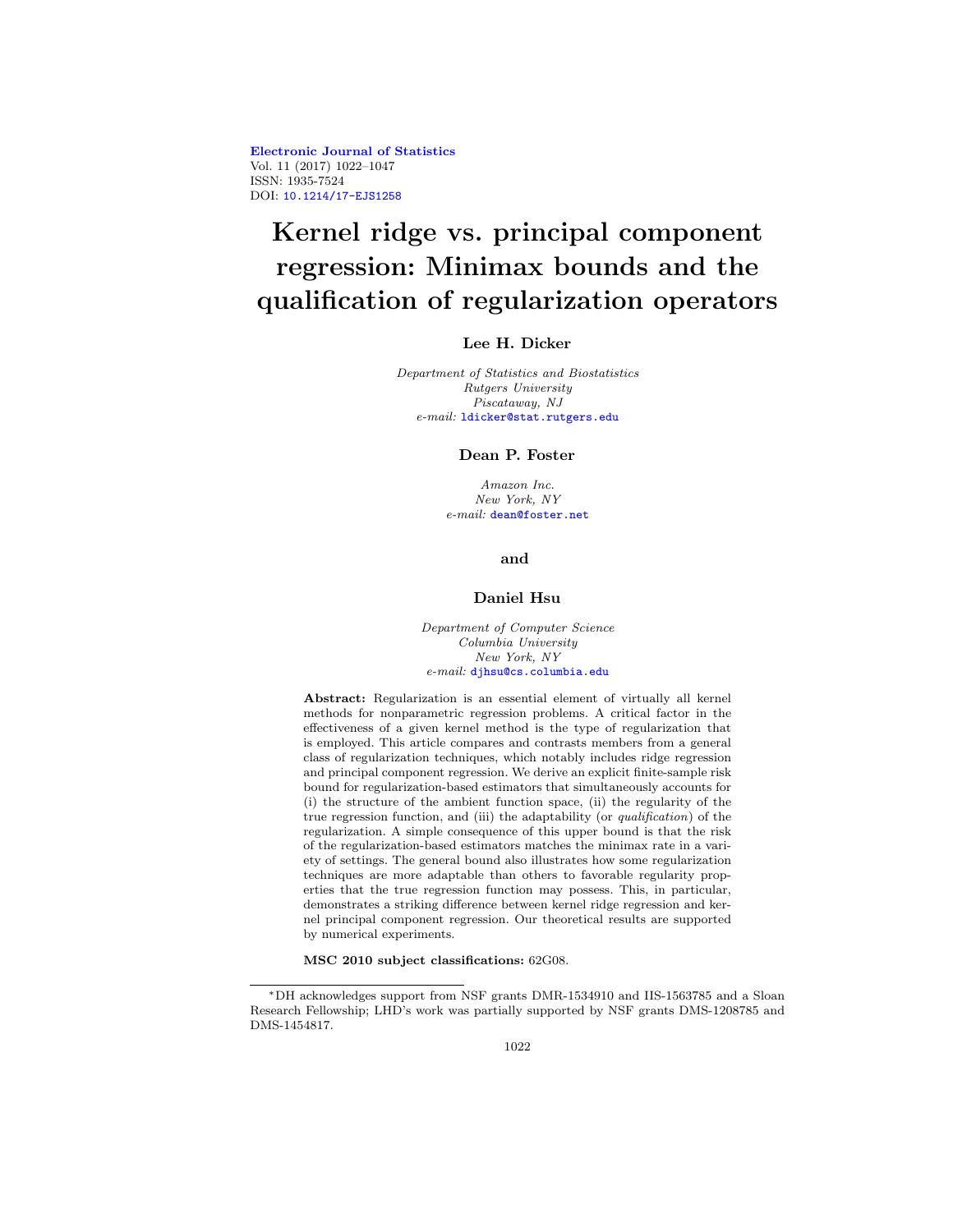**[Electronic Journal of Statistics](http://projecteuclid.org/ejs)** Vol. 11 (2017) 1022–1047 ISSN: 1935-7524 DOI: [10.1214/17-EJS1258](http://dx.doi.org/10.1214/17-EJS1258)

# **Kernel ridge vs. principal component regression: Minimax bounds and the qualification of regularization operators**

# **Lee H. Dicker**

Department of Statistics and Biostatistics Rutgers University Piscataway, NJ e-mail: [ldicker@stat.rutgers.edu](mailto:ldicker@stat.rutgers.edu)

#### **Dean P. Foster**

Amazon Inc. New York, NY e-mail: [dean@foster.net](mailto:dean@foster.net)

**and**

#### **Daniel Hsu**

Department of Computer Science Columbia University New York, NY e-mail: [djhsu@cs.columbia.edu](mailto:djhsu@cs.columbia.edu)

**Abstract:** Regularization is an essential element of virtually all kernel methods for nonparametric regression problems. A critical factor in the effectiveness of a given kernel method is the type of regularization that is employed. This article compares and contrasts members from a general class of regularization techniques, which notably includes ridge regression and principal component regression. We derive an explicit finite-sample risk bound for regularization-based estimators that simultaneously accounts for (i) the structure of the ambient function space, (ii) the regularity of the true regression function, and (iii) the adaptability (or *qualification*) of the regularization. A simple consequence of this upper bound is that the risk of the regularization-based estimators matches the minimax rate in a variety of settings. The general bound also illustrates how some regularization techniques are more adaptable than others to favorable regularity properties that the true regression function may possess. This, in particular, demonstrates a striking difference between kernel ridge regression and kernel principal component regression. Our theoretical results are supported by numerical experiments.

**MSC 2010 subject classifications:** 62G08.

<sup>∗</sup>DH acknowledges support from NSF grants DMR-1534910 and IIS-1563785 and a Sloan Research Fellowship; LHD's work was partially supported by NSF grants DMS-1208785 and DMS-1454817.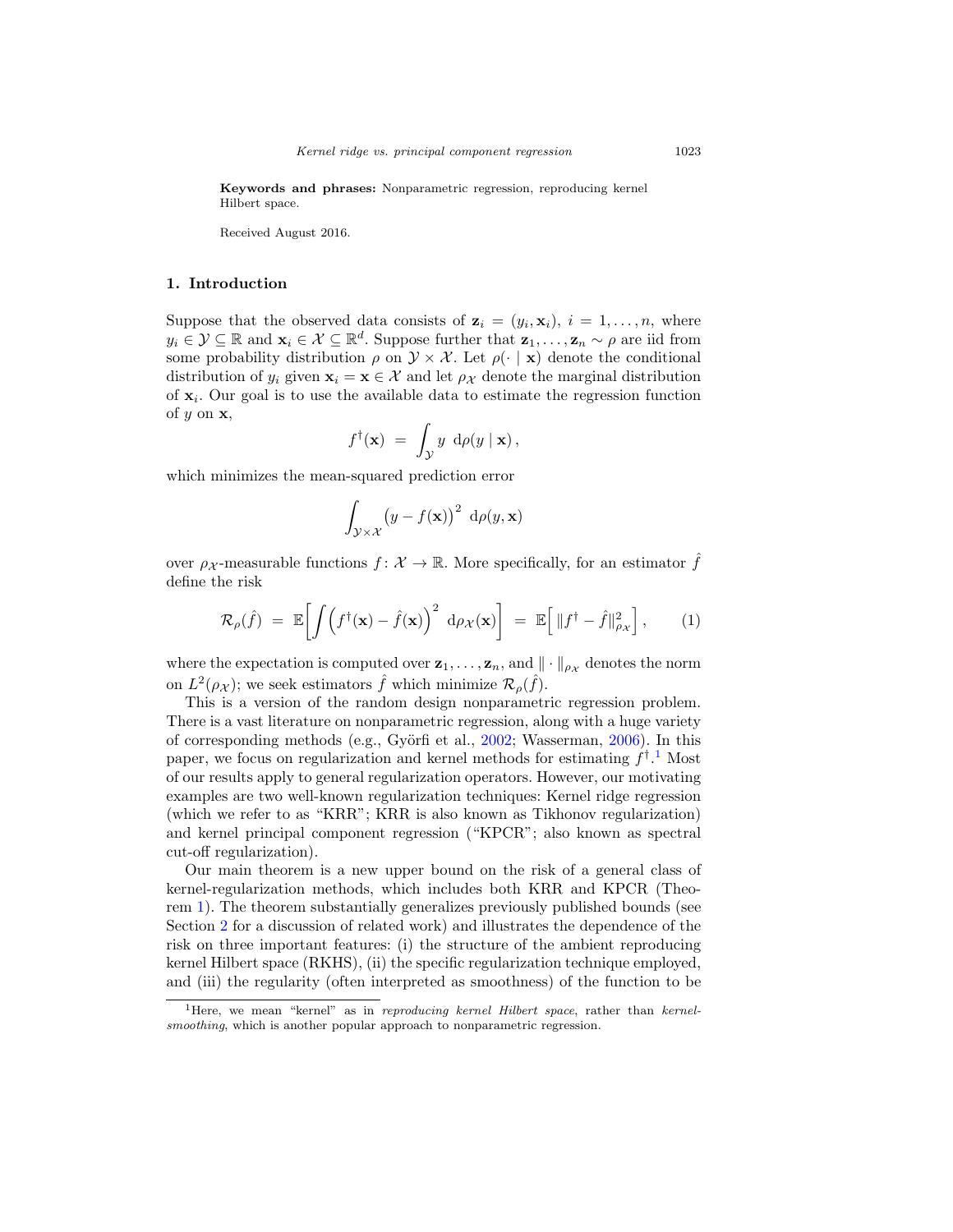**Keywords and phrases:** Nonparametric regression, reproducing kernel Hilbert space.

Received August 2016.

#### <span id="page-1-1"></span>**1. Introduction**

Suppose that the observed data consists of  $z_i = (y_i, x_i), i = 1, \ldots, n$ , where  $y_i \in \mathcal{Y} \subseteq \mathbb{R}$  and  $\mathbf{x}_i \in \mathcal{X} \subseteq \mathbb{R}^d$ . Suppose further that  $\mathbf{z}_1,\ldots,\mathbf{z}_n \sim \rho$  are iid from some probability distribution  $\rho$  on  $\mathcal{Y} \times \mathcal{X}$ . Let  $\rho(\cdot | \mathbf{x})$  denote the conditional distribution of  $y_i$  given  $\mathbf{x}_i = \mathbf{x} \in \mathcal{X}$  and let  $\rho_{\mathcal{X}}$  denote the marginal distribution of  $x_i$ . Our goal is to use the available data to estimate the regression function of y on **x**,

$$
f^{\dagger}(\mathbf{x}) = \int_{\mathcal{Y}} y \, d\rho(y \mid \mathbf{x}),
$$

which minimizes the mean-squared prediction error

<span id="page-1-2"></span>
$$
\int_{\mathcal{Y}\times\mathcal{X}} (y - f(\mathbf{x}))^2 \, d\rho(y, \mathbf{x})
$$

over  $\rho_{\mathcal{X}}$ -measurable functions  $f: \mathcal{X} \to \mathbb{R}$ . More specifically, for an estimator  $\hat{f}$ define the risk

$$
\mathcal{R}_{\rho}(\hat{f}) = \mathbb{E}\bigg[\int \left(f^{\dagger}(\mathbf{x}) - \hat{f}(\mathbf{x})\right)^2 d\rho_{\mathcal{X}}(\mathbf{x})\bigg] = \mathbb{E}\bigg[\left\|f^{\dagger} - \hat{f}\right\|_{\rho_{\mathcal{X}}}^2\bigg],\qquad(1)
$$

where the expectation is computed over  $z_1, \ldots, z_n$ , and  $\|\cdot\|_{\rho_X}$  denotes the norm on  $L^2(\rho_X)$ ; we seek estimators  $\hat{f}$  which minimize  $\mathcal{R}_\rho(\hat{f})$ .

This is a version of the random design nonparametric regression problem. There is a vast literature on nonparametric regression, along with a huge variety of corresponding methods (e.g., Györfi et al., [2002](#page-24-0); Wasserman, [2006](#page-25-0)). In this paper, we focus on regularization and kernel methods for estimating  $f^{\dagger}$ .<sup>[1](#page-1-0)</sup> Most of our results apply to general regularization operators. However, our motivating examples are two well-known regularization techniques: Kernel ridge regression (which we refer to as "KRR"; KRR is also known as Tikhonov regularization) and kernel principal component regression ("KPCR"; also known as spectral cut-off regularization).

Our main theorem is a new upper bound on the risk of a general class of kernel-regularization methods, which includes both KRR and KPCR (Theorem [1\)](#page-7-0). The theorem substantially generalizes previously published bounds (see Section [2](#page-2-0) for a discussion of related work) and illustrates the dependence of the risk on three important features: (i) the structure of the ambient reproducing kernel Hilbert space (RKHS), (ii) the specific regularization technique employed, and (iii) the regularity (often interpreted as smoothness) of the function to be

<span id="page-1-0"></span> $1<sup>1</sup>$  Here, we mean "kernel" as in reproducing kernel Hilbert space, rather than kernelsmoothing, which is another popular approach to nonparametric regression.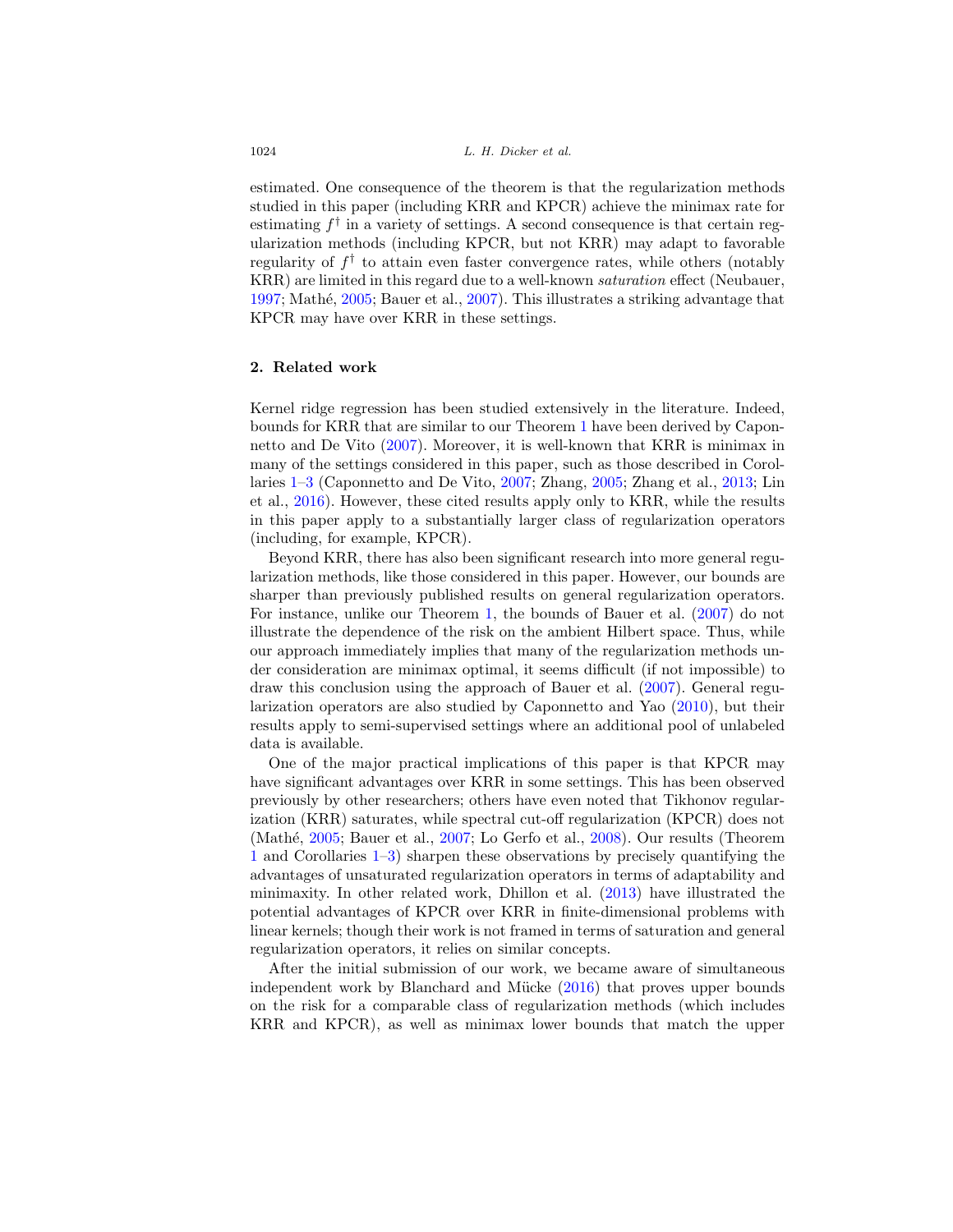estimated. One consequence of the theorem is that the regularization methods studied in this paper (including KRR and KPCR) achieve the minimax rate for estimating  $f^{\dagger}$  in a variety of settings. A second consequence is that certain regularization methods (including KPCR, but not KRR) may adapt to favorable regularity of  $f^{\dagger}$  to attain even faster convergence rates, while others (notably KRR) are limited in this regard due to a well-known saturation effect (Neubauer, [1997;](#page-25-1) Mathé,  $2005$ ; Bauer et al.,  $2007$ ). This illustrates a striking advantage that KPCR may have over KRR in these settings.

#### <span id="page-2-0"></span>**2. Related work**

Kernel ridge regression has been studied extensively in the literature. Indeed, bounds for KRR that are similar to our Theorem [1](#page-7-0) have been derived by Caponnetto and De Vito [\(2007](#page-24-2)). Moreover, it is well-known that KRR is minimax in many of the settings considered in this paper, such as those described in Corollaries [1](#page-8-0)[–3](#page-9-0) (Caponnetto and De Vito, [2007;](#page-24-2) Zhang, [2005](#page-25-3); Zhang et al., [2013](#page-25-4); Lin et al., [2016\)](#page-25-5). However, these cited results apply only to KRR, while the results in this paper apply to a substantially larger class of regularization operators (including, for example, KPCR).

Beyond KRR, there has also been significant research into more general regularization methods, like those considered in this paper. However, our bounds are sharper than previously published results on general regularization operators. For instance, unlike our Theorem [1,](#page-7-0) the bounds of Bauer et al. [\(2007\)](#page-24-1) do not illustrate the dependence of the risk on the ambient Hilbert space. Thus, while our approach immediately implies that many of the regularization methods under consideration are minimax optimal, it seems difficult (if not impossible) to draw this conclusion using the approach of Bauer et al. [\(2007](#page-24-1)). General regularization operators are also studied by Caponnetto and Yao [\(2010](#page-24-3)), but their results apply to semi-supervised settings where an additional pool of unlabeled data is available.

One of the major practical implications of this paper is that KPCR may have significant advantages over KRR in some settings. This has been observed previously by other researchers; others have even noted that Tikhonov regularization (KRR) saturates, while spectral cut-off regularization (KPCR) does not (Mathé,  $2005$ ; Bauer et al.,  $2007$ ; Lo Gerfo et al.,  $2008$ ). Our results (Theorem [1](#page-7-0) and Corollaries [1](#page-8-0)[–3\)](#page-9-0) sharpen these observations by precisely quantifying the advantages of unsaturated regularization operators in terms of adaptability and minimaxity. In other related work, Dhillon et al. [\(2013\)](#page-24-4) have illustrated the potential advantages of KPCR over KRR in finite-dimensional problems with linear kernels; though their work is not framed in terms of saturation and general regularization operators, it relies on similar concepts.

After the initial submission of our work, we became aware of simultaneous independent work by Blanchard and Mücke  $(2016)$  $(2016)$  that proves upper bounds on the risk for a comparable class of regularization methods (which includes KRR and KPCR), as well as minimax lower bounds that match the upper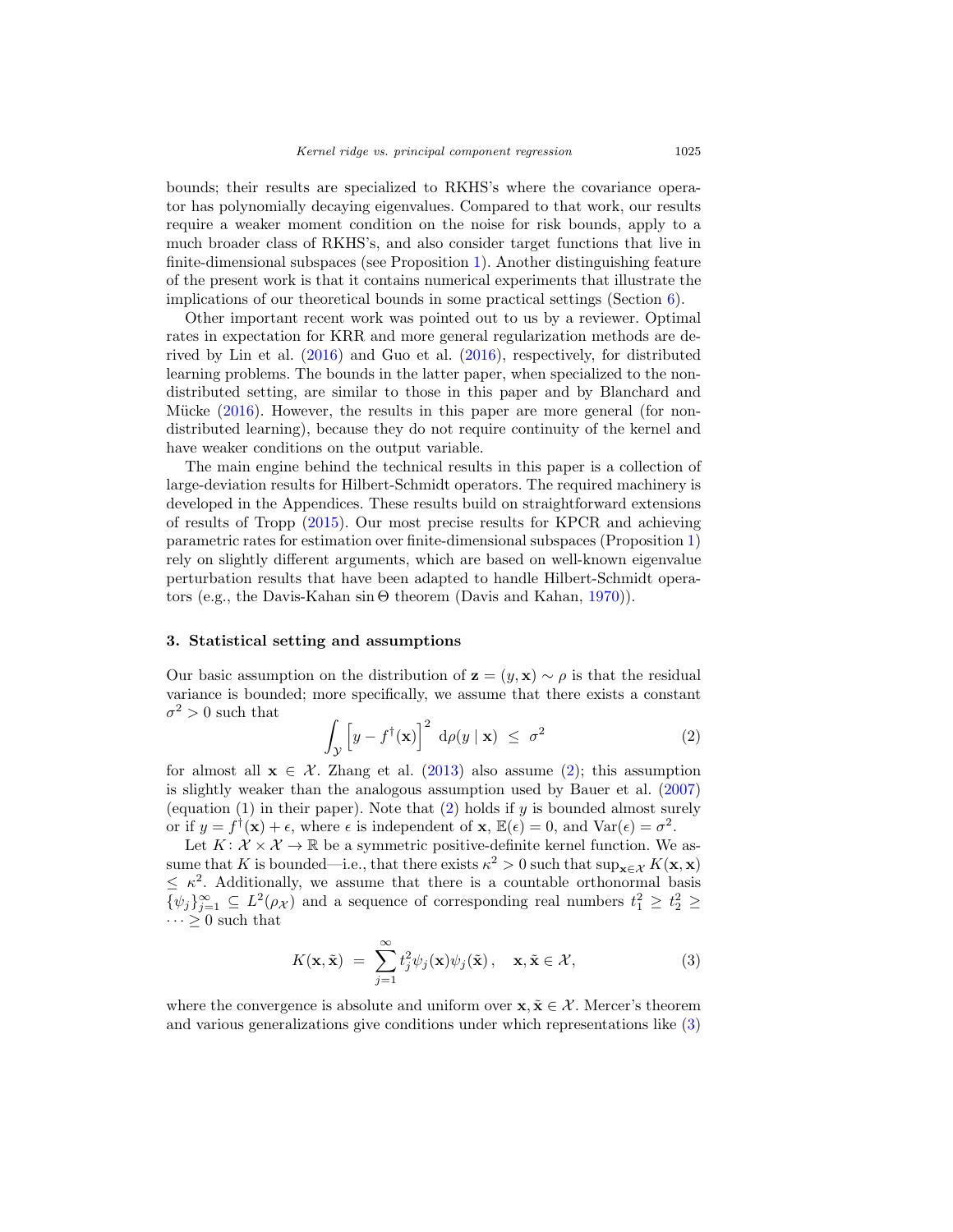bounds; their results are specialized to RKHS's where the covariance operator has polynomially decaying eigenvalues. Compared to that work, our results require a weaker moment condition on the noise for risk bounds, apply to a much broader class of RKHS's, and also consider target functions that live in finite-dimensional subspaces (see Proposition [1\)](#page-9-1). Another distinguishing feature of the present work is that it contains numerical experiments that illustrate the implications of our theoretical bounds in some practical settings (Section  $6$ ).

Other important recent work was pointed out to us by a reviewer. Optimal rates in expectation for KRR and more general regularization methods are derived by Lin et al. [\(2016](#page-25-5)) and Guo et al. [\(2016\)](#page-24-6), respectively, for distributed learning problems. The bounds in the latter paper, when specialized to the nondistributed setting, are similar to those in this paper and by Blanchard and Mücke  $(2016)$  $(2016)$ . However, the results in this paper are more general (for nondistributed learning), because they do not require continuity of the kernel and have weaker conditions on the output variable.

The main engine behind the technical results in this paper is a collection of large-deviation results for Hilbert-Schmidt operators. The required machinery is developed in the Appendices. These results build on straightforward extensions of results of Tropp [\(2015\)](#page-25-7). Our most precise results for KPCR and achieving parametric rates for estimation over finite-dimensional subspaces (Proposition [1\)](#page-9-1) rely on slightly different arguments, which are based on well-known eigenvalue perturbation results that have been adapted to handle Hilbert-Schmidt operators (e.g., the Davis-Kahan sin Θ theorem (Davis and Kahan, [1970\)](#page-24-7)).

#### **3. Statistical setting and assumptions**

Our basic assumption on the distribution of  $z = (y, x) \sim \rho$  is that the residual variance is bounded; more specifically, we assume that there exists a constant  $\sigma^2 > 0$  such that

<span id="page-3-0"></span>
$$
\int_{\mathcal{Y}} \left[ y - f^{\dagger}(\mathbf{x}) \right]^2 \, \mathrm{d}\rho(y \mid \mathbf{x}) \leq \sigma^2 \tag{2}
$$

for almost all  $\mathbf{x} \in \mathcal{X}$ . Zhang et al. [\(2013\)](#page-25-4) also assume [\(2\)](#page-3-0); this assumption is slightly weaker than the analogous assumption used by Bauer et al. [\(2007\)](#page-24-1) (equation (1) in their paper). Note that [\(2\)](#page-3-0) holds if y is bounded almost surely or if  $y = f^{\dagger}(\mathbf{x}) + \epsilon$ , where  $\epsilon$  is independent of  $\mathbf{x}, \mathbb{E}(\epsilon) = 0$ , and  $\text{Var}(\epsilon) = \sigma^2$ .

Let  $K: \mathcal{X} \times \mathcal{X} \to \mathbb{R}$  be a symmetric positive-definite kernel function. We assume that K is bounded—i.e., that there exists  $\kappa^2 > 0$  such that  $\sup_{\mathbf{x} \in \mathcal{X}} K(\mathbf{x}, \mathbf{x})$  $\leq \kappa^2$ . Additionally, we assume that there is a countable orthonormal basis  $\{\psi_j\}_{j=1}^{\infty} \subseteq L^2(\rho_{\mathcal{X}})$  and a sequence of corresponding real numbers  $t_1^2 \geq t_2^2 \geq$  $\cdots \geq 0$  such that

<span id="page-3-1"></span>
$$
K(\mathbf{x}, \tilde{\mathbf{x}}) = \sum_{j=1}^{\infty} t_j^2 \psi_j(\mathbf{x}) \psi_j(\tilde{\mathbf{x}}), \quad \mathbf{x}, \tilde{\mathbf{x}} \in \mathcal{X},
$$
 (3)

where the convergence is absolute and uniform over  $\mathbf{x}, \tilde{\mathbf{x}} \in \mathcal{X}$ . Mercer's theorem and various generalizations give conditions under which representations like [\(3\)](#page-3-1)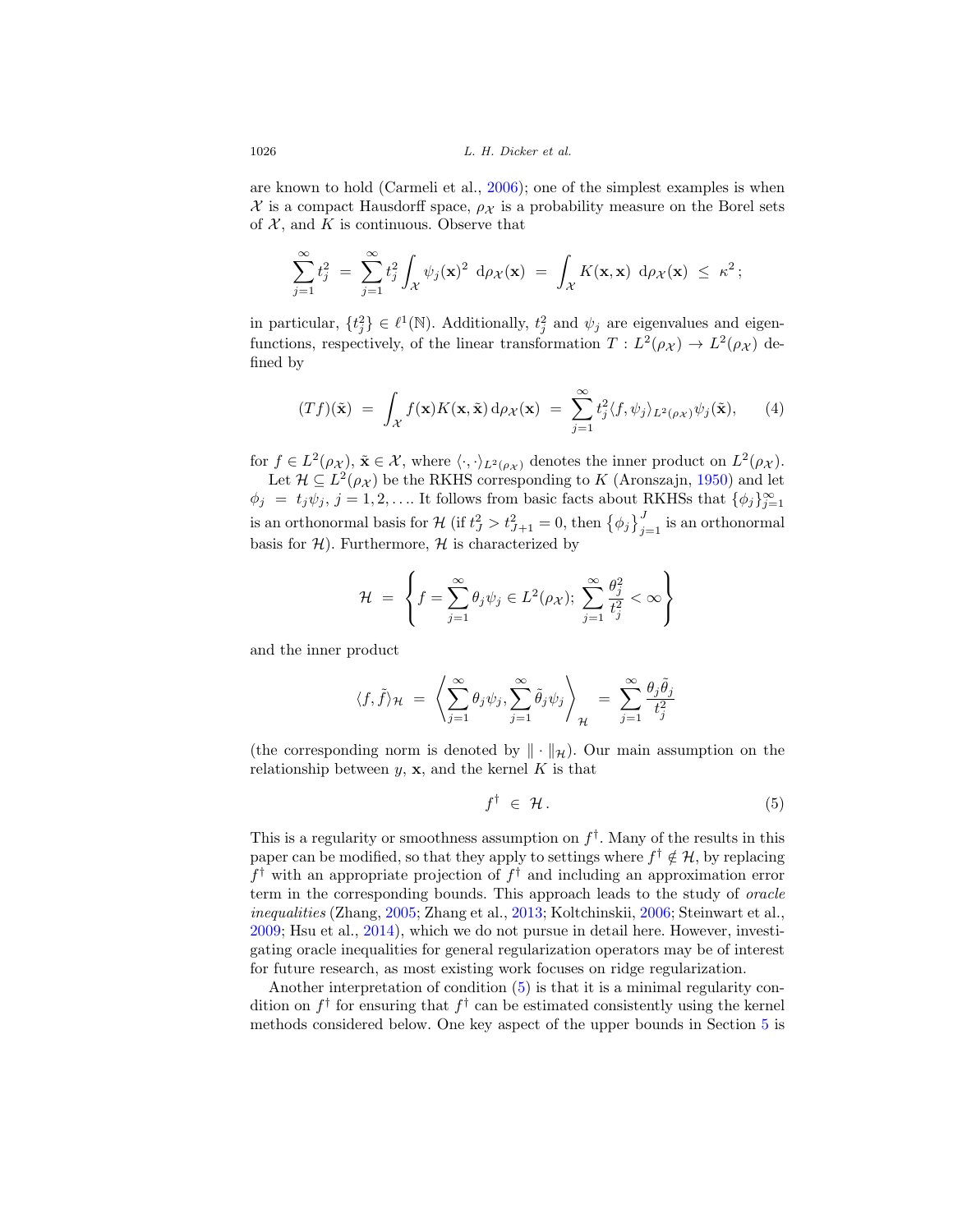are known to hold (Carmeli et al., [2006](#page-24-8)); one of the simplest examples is when  $\mathcal X$  is a compact Hausdorff space,  $\rho_{\mathcal X}$  is a probability measure on the Borel sets of  $X$ , and K is continuous. Observe that

$$
\sum_{j=1}^{\infty} t_j^2 = \sum_{j=1}^{\infty} t_j^2 \int_{\mathcal{X}} \psi_j(\mathbf{x})^2 \, d\rho_{\mathcal{X}}(\mathbf{x}) = \int_{\mathcal{X}} K(\mathbf{x}, \mathbf{x}) \, d\rho_{\mathcal{X}}(\mathbf{x}) \leq \kappa^2;
$$

in particular,  $\{t_j^2\} \in \ell^1(\mathbb{N})$ . Additionally,  $t_j^2$  and  $\psi_j$  are eigenvalues and eigenfunctions, respectively, of the linear transformation  $T : L^2(\rho_{\mathcal{X}}) \to L^2(\rho_{\mathcal{X}})$  defined by

<span id="page-4-1"></span>
$$
(Tf)(\tilde{\mathbf{x}}) = \int_{\mathcal{X}} f(\mathbf{x}) K(\mathbf{x}, \tilde{\mathbf{x}}) d\rho_{\mathcal{X}}(\mathbf{x}) = \sum_{j=1}^{\infty} t_j^2 \langle f, \psi_j \rangle_{L^2(\rho_{\mathcal{X}})} \psi_j(\tilde{\mathbf{x}}), \qquad (4)
$$

for  $f \in L^2(\rho_\mathcal{X}), \tilde{\mathbf{x}} \in \mathcal{X}$ , where  $\langle \cdot, \cdot \rangle_{L^2(\rho_\mathcal{X})}$  denotes the inner product on  $L^2(\rho_\mathcal{X})$ . Let  $\mathcal{H} \subseteq L^2(\rho_{\mathcal{X}})$  be the RKHS corresponding to K (Aronszajn, [1950\)](#page-24-9) and let  $\phi_j = t_j \psi_j, j = 1, 2, \dots$  It follows from basic facts about RKHSs that  $\{\phi_j\}_{j=1}^{\infty}$ is an orthonormal basis for  $\mathcal{H}$  (if  $t_J^2 > t_{J+1}^2 = 0$ , then  $\{\phi_j\}_{j=1}^J$  is an orthonormal basis for  $H$ ). Furthermore,  $H$  is characterized by

$$
\mathcal{H} = \left\{ f = \sum_{j=1}^{\infty} \theta_j \psi_j \in L^2(\rho_X); \ \sum_{j=1}^{\infty} \frac{\theta_j^2}{t_j^2} < \infty \right\}
$$

and the inner product

$$
\langle f, \tilde{f} \rangle_{\mathcal{H}} = \left\langle \sum_{j=1}^{\infty} \theta_j \psi_j, \sum_{j=1}^{\infty} \tilde{\theta}_j \psi_j \right\rangle_{\mathcal{H}} = \sum_{j=1}^{\infty} \frac{\theta_j \tilde{\theta}_j}{t_j^2}
$$

(the corresponding norm is denoted by  $\|\cdot\|_{\mathcal{H}}$ ). Our main assumption on the relationship between  $y$ , **x**, and the kernel K is that

<span id="page-4-0"></span>
$$
f^{\dagger} \in \mathcal{H}.
$$
 (5)

This is a regularity or smoothness assumption on  $f^{\dagger}$ . Many of the results in this paper can be modified, so that they apply to settings where  $f^{\dagger} \notin \mathcal{H}$ , by replacing  $f^{\dagger}$  with an appropriate projection of  $f^{\dagger}$  and including an approximation error term in the corresponding bounds. This approach leads to the study of oracle inequalities (Zhang, [2005;](#page-25-3) Zhang et al., [2013;](#page-25-4) Koltchinskii, [2006](#page-25-8); Steinwart et al., [2009;](#page-25-9) Hsu et al., [2014\)](#page-24-10), which we do not pursue in detail here. However, investigating oracle inequalities for general regularization operators may be of interest for future research, as most existing work focuses on ridge regularization.

Another interpretation of condition [\(5\)](#page-4-0) is that it is a minimal regularity condition on  $f^{\dagger}$  for ensuring that  $f^{\dagger}$  can be estimated consistently using the kernel methods considered below. One key aspect of the upper bounds in Section [5](#page-7-1) is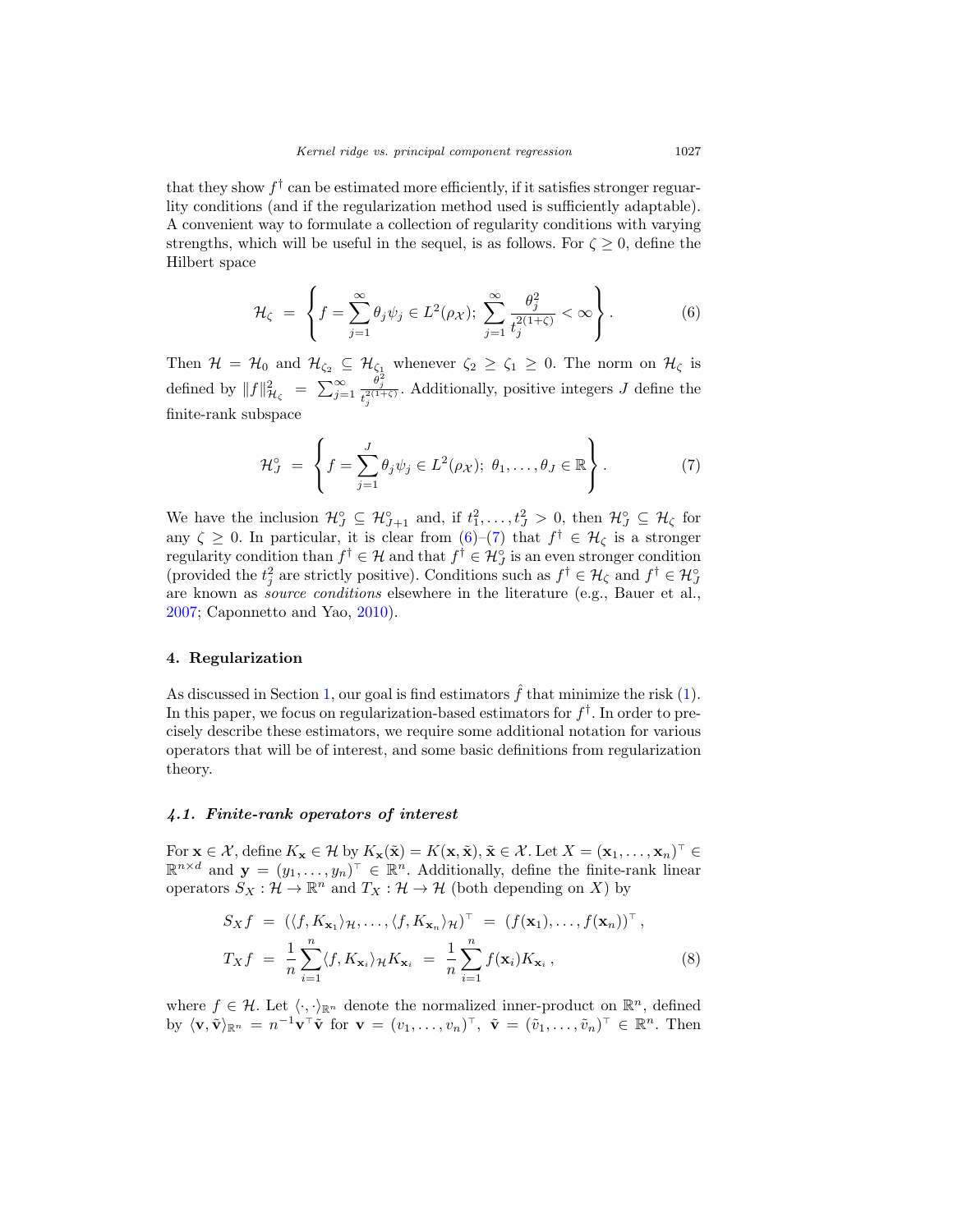that they show  $f^{\dagger}$  can be estimated more efficiently, if it satisfies stronger reguarlity conditions (and if the regularization method used is sufficiently adaptable). A convenient way to formulate a collection of regularity conditions with varying strengths, which will be useful in the sequel, is as follows. For  $\zeta \geq 0$ , define the Hilbert space

<span id="page-5-0"></span>
$$
\mathcal{H}_{\zeta} = \left\{ f = \sum_{j=1}^{\infty} \theta_j \psi_j \in L^2(\rho_{\mathcal{X}}); \ \sum_{j=1}^{\infty} \frac{\theta_j^2}{t_j^{2(1+\zeta)}} < \infty \right\}.
$$
\n<sup>(6)</sup>

Then  $\mathcal{H} = \mathcal{H}_0$  and  $\mathcal{H}_{\zeta_2} \subseteq \mathcal{H}_{\zeta_1}$  whenever  $\zeta_2 \geq \zeta_1 \geq 0$ . The norm on  $\mathcal{H}_{\zeta}$  is defined by  $||f||_{\mathcal{H}_{\zeta}}^2 = \sum_{j=1}^{\infty}$  $\theta_j^2$  $t^{\frac{ij}{2(1+\zeta)}}_{j}$ . Additionally, positive integers J define the finite-rank subspace

<span id="page-5-1"></span>
$$
\mathcal{H}_J^\circ \ = \ \left\{ f = \sum_{j=1}^J \theta_j \psi_j \in L^2(\rho_\mathcal{X}); \ \theta_1, \dots, \theta_J \in \mathbb{R} \right\}.
$$
 (7)

We have the inclusion  $\mathcal{H}_{J}^{\circ} \subseteq \mathcal{H}_{J+1}^{\circ}$  and, if  $t_1^2, \ldots, t_J^2 > 0$ , then  $\mathcal{H}_{J}^{\circ} \subseteq \mathcal{H}_{\zeta}$  for any  $\zeta \geq 0$ . In particular, it is clear from  $(6)-(7)$  $(6)-(7)$  $(6)-(7)$  that  $f^{\dagger} \in \mathcal{H}_{\zeta}$  is a stronger regularity condition than  $f^{\dagger} \in \mathcal{H}$  and that  $f^{\dagger} \in \mathcal{H}^{\circ}_{J}$  is an even stronger condition (provided the  $t_j^2$  are strictly positive). Conditions such as  $f^{\dagger} \in \mathcal{H}_{\zeta}$  and  $f^{\dagger} \in \mathcal{H}_{j}^{\circ}$ are known as source conditions elsewhere in the literature (e.g., Bauer et al., [2007;](#page-24-1) Caponnetto and Yao, [2010](#page-24-3)).

# **4. Regularization**

As discussed in Section [1,](#page-1-1) our goal is find estimators  $\hat{f}$  that minimize the risk [\(1\)](#page-1-2). In this paper, we focus on regularization-based estimators for  $f^{\dagger}$ . In order to precisely describe these estimators, we require some additional notation for various operators that will be of interest, and some basic definitions from regularization theory.

#### *4.1. Finite-rank operators of interest*

For  $\mathbf{x} \in \mathcal{X}$ , define  $K_{\mathbf{x}} \in \mathcal{H}$  by  $K_{\mathbf{x}}(\tilde{\mathbf{x}}) = K(\mathbf{x}, \tilde{\mathbf{x}})$ ,  $\tilde{\mathbf{x}} \in \mathcal{X}$ . Let  $X = (\mathbf{x}_1, \dots, \mathbf{x}_n)^\top \in$  $\mathbb{R}^{n \times d}$  and  $\mathbf{y} = (y_1, \ldots, y_n)^\top \in \mathbb{R}^n$ . Additionally, define the finite-rank linear operators  $S_X : \mathcal{H} \to \mathbb{R}^n$  and  $T_X : \mathcal{H} \to \mathcal{H}$  (both depending on X) by

<span id="page-5-2"></span>
$$
S_X f = (\langle f, K_{\mathbf{x}_1} \rangle_{\mathcal{H}}, \dots, \langle f, K_{\mathbf{x}_n} \rangle_{\mathcal{H}})^{\top} = (f(\mathbf{x}_1), \dots, f(\mathbf{x}_n))^{\top},
$$
  

$$
T_X f = \frac{1}{n} \sum_{i=1}^n \langle f, K_{\mathbf{x}_i} \rangle_{\mathcal{H}} K_{\mathbf{x}_i} = \frac{1}{n} \sum_{i=1}^n f(\mathbf{x}_i) K_{\mathbf{x}_i},
$$
 (8)

where  $f \in \mathcal{H}$ . Let  $\langle \cdot, \cdot \rangle_{\mathbb{R}^n}$  denote the normalized inner-product on  $\mathbb{R}^n$ , defined by  $\langle \mathbf{v}, \tilde{\mathbf{v}} \rangle_{\mathbb{R}^n} = n^{-1} \mathbf{v}^\top \tilde{\mathbf{v}}$  for  $\mathbf{v} = (v_1, \dots, v_n)^\top$ ,  $\tilde{\mathbf{v}} = (\tilde{v}_1, \dots, \tilde{v}_n)^\top \in \mathbb{R}^n$ . Then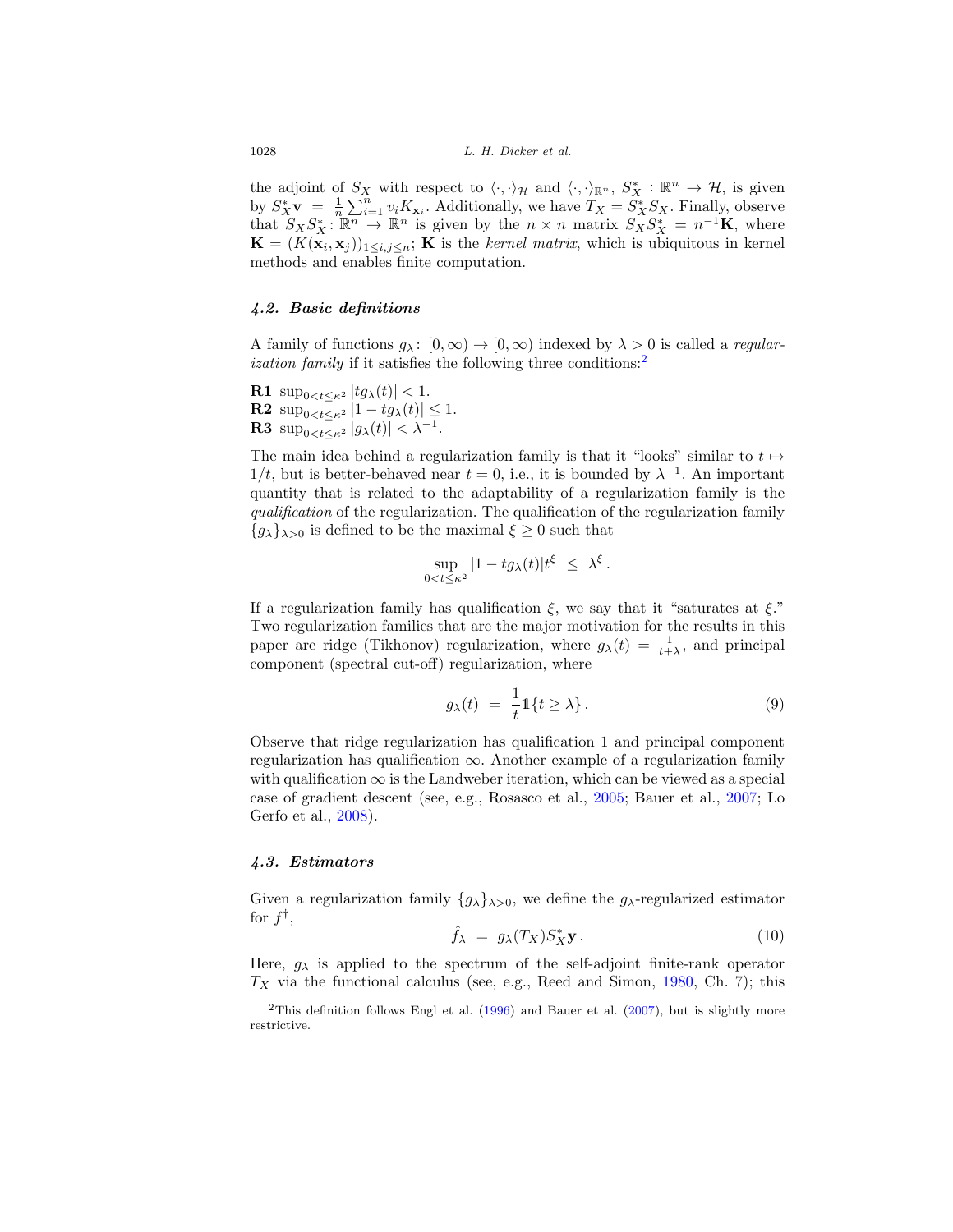the adjoint of  $S_X$  with respect to  $\langle \cdot, \cdot \rangle_{\mathcal{H}}$  and  $\langle \cdot, \cdot \rangle_{\mathbb{R}^n}$ ,  $S_X^* : \mathbb{R}^n \to \mathcal{H}$ , is given by  $S_X^* \mathbf{v} = \frac{1}{n} \sum_{i=1}^n v_i K_{\mathbf{x}_i}$ . Additionally, we have  $T_X = S_X^* S_X$ . Finally, observe that  $S_X S_X^* : \mathbb{R}^n \to \mathbb{R}^n$  is given by the  $n \times n$  matrix  $S_X S_X^* = n^{-1} \mathbf{K}$ , where  $\mathbf{K} = (K(\mathbf{x}_i, \mathbf{x}_j))_{1 \leq i, j \leq n}$ ; **K** is the kernel matrix, which is ubiquitous in kernel methods and enables finite computation.

### *4.2. Basic definitions*

A family of functions  $q_{\lambda} : [0, \infty) \to [0, \infty)$  indexed by  $\lambda > 0$  is called a *regular*-ization family if it satisfies the following three conditions:<sup>[2](#page-6-0)</sup>

**R1**  $\sup_{0 \le t \le \kappa^2} |tg_\lambda(t)| < 1.$ **R2**  $\sup_{0 \le t \le \kappa^2} |1 - tg_{\lambda}(t)| \le 1.$ **R3**  $\sup_{0 \le t \le \kappa^2} |g_\lambda(t)| < \lambda^{-1}$ .

The main idea behind a regularization family is that it "looks" similar to  $t \mapsto$  $1/t$ , but is better-behaved near  $t = 0$ , i.e., it is bounded by  $\lambda^{-1}$ . An important quantity that is related to the adaptability of a regularization family is the qualification of the regularization. The qualification of the regularization family  ${g_{\lambda}}_{\lambda>0}$  is defined to be the maximal  $\xi \geq 0$  such that

$$
\sup_{0
$$

If a regularization family has qualification  $\xi$ , we say that it "saturates at  $\xi$ ." Two regularization families that are the major motivation for the results in this paper are ridge (Tikhonov) regularization, where  $g_{\lambda}(t) = \frac{1}{t + \lambda}$ , and principal component (spectral cut-off) regularization, where

<span id="page-6-2"></span>
$$
g_{\lambda}(t) = \frac{1}{t} \mathbb{1}\{t \ge \lambda\}.
$$
 (9)

Observe that ridge regularization has qualification 1 and principal component regularization has qualification  $\infty$ . Another example of a regularization family with qualification  $\infty$  is the Landweber iteration, which can be viewed as a special case of gradient descent (see, e.g., Rosasco et al., [2005](#page-25-10); Bauer et al., [2007;](#page-24-1) Lo Gerfo et al., [2008](#page-25-6)).

#### *4.3. Estimators*

Given a regularization family  $\{g_{\lambda}\}_{\lambda>0}$ , we define the  $g_{\lambda}$ -regularized estimator for  $f^{\dagger}$ ,<br> $\hat{f}_{\lambda} = g_{\lambda}(T_X)S_X^*$ 

<span id="page-6-1"></span>
$$
\hat{f}_{\lambda} = g_{\lambda}(T_X) S_X^* \mathbf{y} . \tag{10}
$$

Here,  $g_{\lambda}$  is applied to the spectrum of the self-adjoint finite-rank operator  $T_X$  via the functional calculus (see, e.g., Reed and Simon, [1980,](#page-25-11) Ch. 7); this

<span id="page-6-0"></span><sup>&</sup>lt;sup>2</sup>This definition follows Engl et al.  $(1996)$  and Bauer et al.  $(2007)$ , but is slightly more restrictive.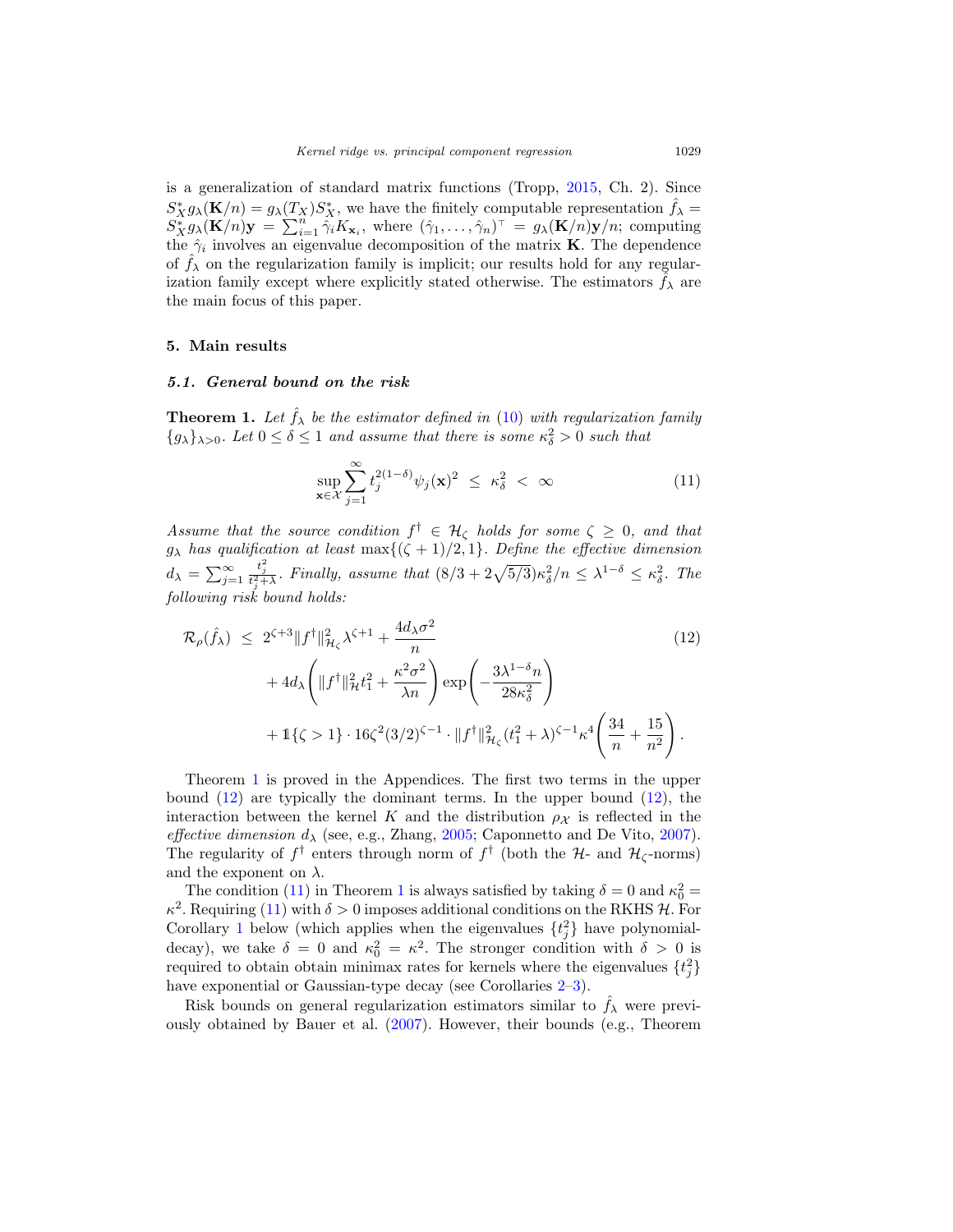is a generalization of standard matrix functions (Tropp, [2015](#page-25-7), Ch. 2). Since  $S_X^* g_\lambda(\mathbf{K}/n) = g_\lambda(T_X) S_X^*$ , we have the finitely computable representation  $\hat{f}_\lambda =$  $S_X^* g_\lambda(\mathbf{K}/n)$ **y** =  $\sum_{i=1}^n \hat{\gamma}_i K_{\mathbf{x}_i}$ , where  $(\hat{\gamma}_1, \dots, \hat{\gamma}_n)^\top = g_\lambda(\mathbf{K}/n)$ **y**/n; computing the  $\hat{\gamma}_i$  involves an eigenvalue decomposition of the matrix **K**. The dependence of  $\hat{f}_{\lambda}$  on the regularization family is implicit; our results hold for any regularization family except where explicitly stated otherwise. The estimators  $\hat{f}_{\lambda}$  are the main focus of this paper.

#### <span id="page-7-1"></span>**5. Main results**

#### *5.1. General bound on the risk*

<span id="page-7-0"></span>**Theorem 1.** Let  $\hat{f}_{\lambda}$  be the estimator defined in [\(10\)](#page-6-1) with regularization family  ${g_{\lambda}}_{\lambda>0}$ . Let  $0 \leq \delta \leq 1$  and assume that there is some  $\kappa_{\delta}^2 > 0$  such that

<span id="page-7-3"></span><span id="page-7-2"></span>
$$
\sup_{\mathbf{x}\in\mathcal{X}}\sum_{j=1}^{\infty}t_j^{2(1-\delta)}\psi_j(\mathbf{x})^2 \leq \kappa_\delta^2 < \infty \tag{11}
$$

Assume that the source condition  $f^{\dagger} \in \mathcal{H}_{\zeta}$  holds for some  $\zeta \geq 0$ , and that  $g_{\lambda}$  has qualification at least  $\max\{(\zeta + 1)/2, 1\}$ . Define the effective dimension  $d_{\lambda} = \sum_{j=1}^{\infty}$  $\frac{t_j^2}{t_j^2 + \lambda}$ . Finally, assume that  $(8/3 + 2\sqrt{5/3})\kappa_{\delta}^2/n \leq \lambda^{1-\delta} \leq \kappa_{\delta}^2$ . The following risk bound holds:

$$
\mathcal{R}_{\rho}(\hat{f}_{\lambda}) \leq 2^{\zeta+3} \|f^{\dagger}\|_{\mathcal{H}_{\zeta}}^{2} \lambda^{\zeta+1} + \frac{4d_{\lambda}\sigma^{2}}{n} \qquad (12)
$$
\n
$$
+ 4d_{\lambda} \left( \|f^{\dagger}\|_{\mathcal{H}}^{2} t_{1}^{2} + \frac{\kappa^{2} \sigma^{2}}{\lambda n} \right) \exp\left( -\frac{3\lambda^{1-\delta} n}{28\kappa_{\delta}^{2}} \right)
$$
\n
$$
+ \mathbb{1}\{\zeta > 1\} \cdot 16\zeta^{2} (3/2)^{\zeta-1} \cdot \|f^{\dagger}\|_{\mathcal{H}_{\zeta}}^{2} (t_{1}^{2} + \lambda)^{\zeta-1} \kappa^{4} \left( \frac{34}{n} + \frac{15}{n^{2}} \right).
$$
\n(12)

Theorem [1](#page-7-0) is proved in the Appendices. The first two terms in the upper bound  $(12)$  are typically the dominant terms. In the upper bound  $(12)$ , the interaction between the kernel K and the distribution  $\rho_{\mathcal{X}}$  is reflected in the effective dimension  $d_{\lambda}$  (see, e.g., Zhang, [2005;](#page-25-3) Caponnetto and De Vito, [2007\)](#page-24-2). The regularity of  $f^{\dagger}$  enters through norm of  $f^{\dagger}$  (both the H- and  $\mathcal{H}_{\zeta}$ -norms) and the exponent on  $\lambda$ .

The condition [\(11\)](#page-7-3) in Theorem [1](#page-7-0) is always satisfied by taking  $\delta = 0$  and  $\kappa_0^2 =$  $\kappa^2$ . Requiring [\(11\)](#page-7-3) with  $\delta > 0$  imposes additional conditions on the RKHS H. For Corollary [1](#page-8-0) below (which applies when the eigenvalues  $\{t_j^2\}$  have polynomialdecay), we take  $\delta = 0$  and  $\kappa_0^2 = \kappa^2$ . The stronger condition with  $\delta > 0$  is required to obtain obtain minimax rates for kernels where the eigenvalues  $\{t_j^2\}$ have exponential or Gaussian-type decay (see Corollaries  $2-3$  $2-3$ ).

Risk bounds on general regularization estimators similar to  $f_{\lambda}$  were previously obtained by Bauer et al. [\(2007](#page-24-1)). However, their bounds (e.g., Theorem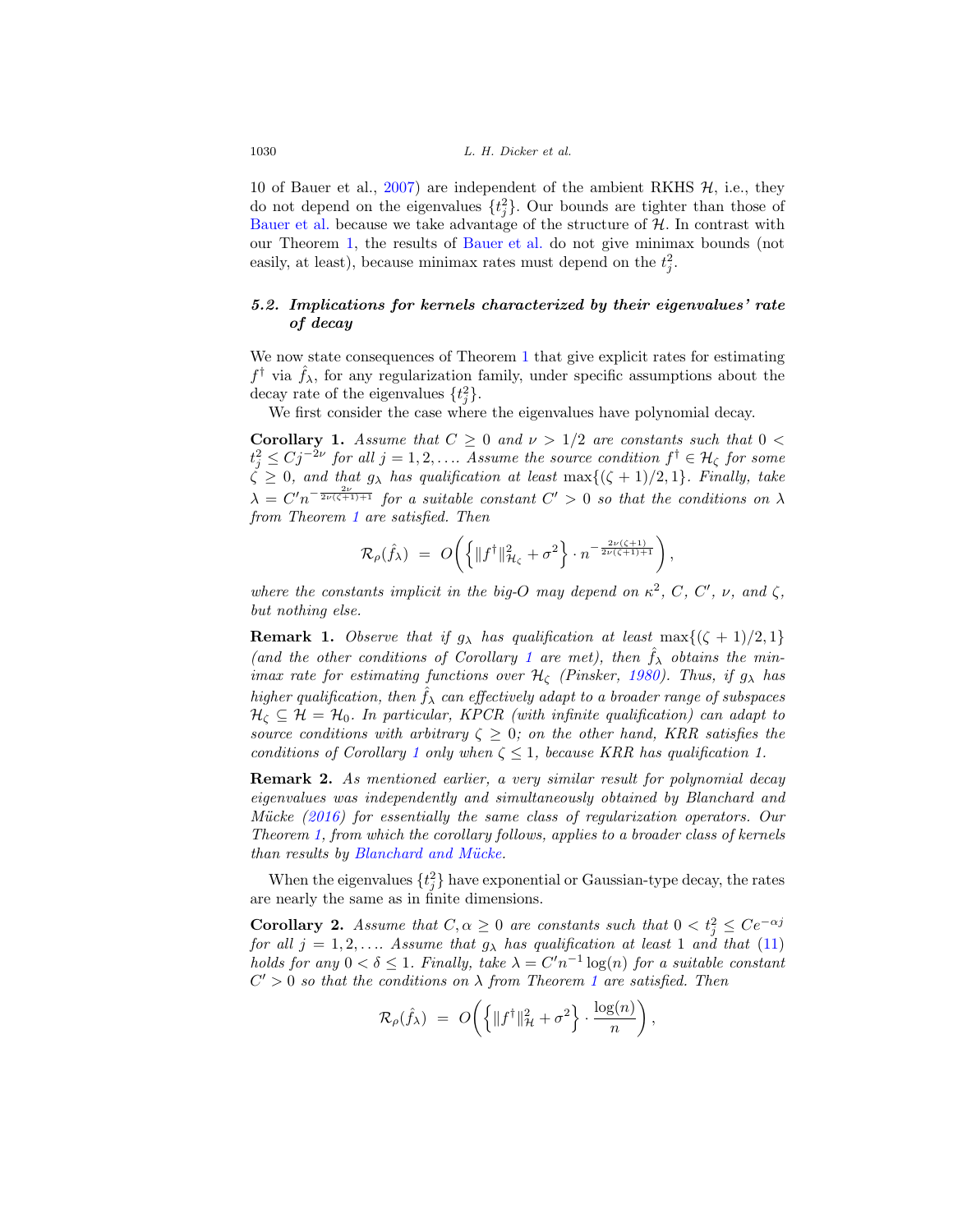10 of Bauer et al., [2007\)](#page-24-1) are independent of the ambient RKHS  $H$ , i.e., they do not depend on the eigenvalues  $\{t_j^2\}$ . Our bounds are tighter than those of [Bauer et al.](#page-24-1) because we take advantage of the structure of  $H$ . In contrast with our Theorem [1,](#page-7-0) the results of [Bauer et al.](#page-24-1) do not give minimax bounds (not easily, at least), because minimax rates must depend on the  $t_j^2$ .

# *5.2. Implications for kernels characterized by their eigenvalues' rate of decay*

We now state consequences of Theorem [1](#page-7-0) that give explicit rates for estimating  $f^{\dagger}$  via  $\hat{f}_{\lambda}$ , for any regularization family, under specific assumptions about the decay rate of the eigenvalues  $\{t_j^2\}.$ 

We first consider the case where the eigenvalues have polynomial decay.

<span id="page-8-0"></span>**Corollary 1.** Assume that  $C \geq 0$  and  $\nu > 1/2$  are constants such that  $0 <$  $t_j^2 \leq C j^{-2\nu}$  for all  $j = 1, 2, \ldots$  Assume the source condition  $f^{\dagger} \in \mathcal{H}_{\zeta}$  for some  $\zeta \geq 0$ , and that  $g_{\lambda}$  has qualification at least max $\{(\zeta + 1)/2, 1\}$ . Finally, take  $\lambda = C'n^{-\frac{2\nu}{2\nu(\zeta+1)+1}}$  for a suitable constant  $C' > 0$  so that the conditions on  $\lambda$ from Theorem [1](#page-7-0) are satisfied. Then

$$
\mathcal{R}_{\rho}(\hat{f}_{\lambda}) = O\bigg(\bigg\{\|f^{\dagger}\|_{\mathcal{H}_{\zeta}}^2 + \sigma^2\bigg\} \cdot n^{-\frac{2\nu(\zeta+1)}{2\nu(\zeta+1)+1}}\bigg)
$$

,

,

where the constants implicit in the big-O may depend on  $\kappa^2$ , C, C', v, and  $\zeta$ , but nothing else.

**Remark 1.** Observe that if  $g_{\lambda}$  has qualification at least max $\{(\zeta + 1)/2, 1\}$ (and the other conditions of Corollary [1](#page-8-0) are met), then  $\hat{f}_{\lambda}$  obtains the minimax rate for estimating functions over  $\mathcal{H}_{\zeta}$  (Pinsker, [1980\)](#page-25-12). Thus, if  $g_{\lambda}$  has higher qualification, then  $\hat{f}_{\lambda}$  can effectively adapt to a broader range of subspaces  $\mathcal{H}_{\zeta} \subseteq \mathcal{H} = \mathcal{H}_{0}$ . In particular, KPCR (with infinite qualification) can adapt to source conditions with arbitrary  $\zeta \geq 0$ ; on the other hand, KRR satisfies the conditions of Corollary [1](#page-8-0) only when  $\zeta \leq 1$ , because KRR has qualification 1.

**Remark 2.** As mentioned earlier, a very similar result for polynomial decay eigenvalues was independently and simultaneously obtained by Blanchard and Mücke  $(2016)$  for essentially the same class of regularization operators. Our Theorem [1,](#page-7-0) from which the corollary follows, applies to a broader class of kernels than results by Blanchard and Mücke.

When the eigenvalues  $\{t_j^2\}$  have exponential or Gaussian-type decay, the rates are nearly the same as in finite dimensions.

<span id="page-8-1"></span>**Corollary 2.** Assume that  $C, \alpha \geq 0$  are constants such that  $0 < t_j^2 \leq Ce^{-\alpha j}$ for all  $j = 1, 2, \ldots$  Assume that  $g_{\lambda}$  has qualification at least 1 and that [\(11\)](#page-7-3) holds for any  $0 < \delta \leq 1$ . Finally, take  $\lambda = C'n^{-1} \log(n)$  for a suitable constant  $C' > 0$  so that the conditions on  $\lambda$  from Theorem [1](#page-7-0) are satisfied. Then

$$
\mathcal{R}_{\rho}(\hat{f}_{\lambda}) = O\bigg(\Big\{\|f^{\dagger}\|_{\mathcal{H}}^2 + \sigma^2\Big\} \cdot \frac{\log(n)}{n}\bigg)
$$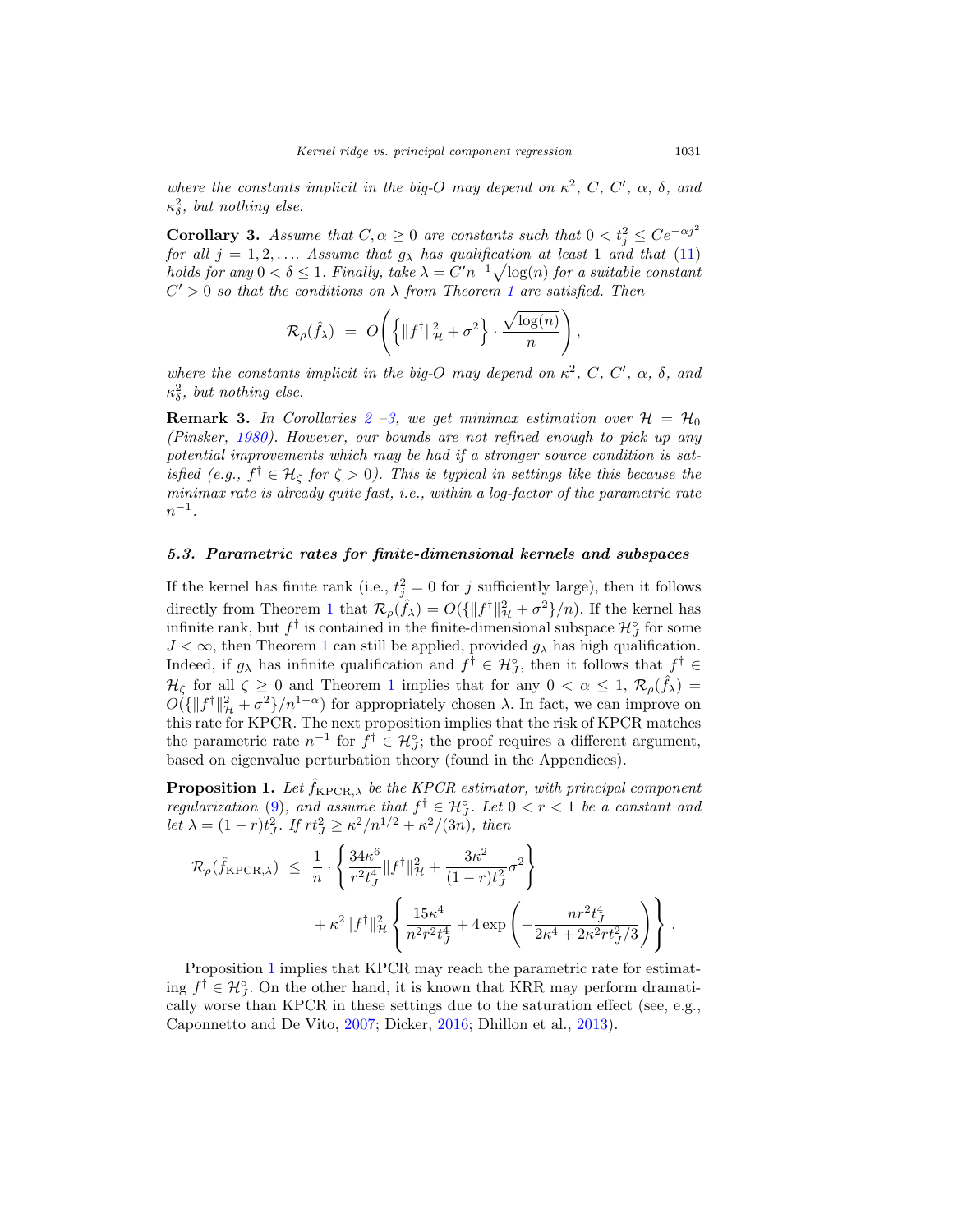where the constants implicit in the big-O may depend on  $\kappa^2$ , C, C',  $\alpha$ ,  $\delta$ , and  $\kappa_{\delta}^2$ , but nothing else.

<span id="page-9-0"></span>**Corollary 3.** Assume that  $C, \alpha \geq 0$  are constants such that  $0 < t_j^2 \leq Ce^{-\alpha j^2}$ for all  $j = 1, 2, \ldots$  Assume that  $g_{\lambda}$  has qualification at least 1 and that [\(11\)](#page-7-3) holds for any  $0 < \delta \leq 1$ . Finally, take  $\lambda = C'n^{-1}\sqrt{\log(n)}$  for a suitable constant  $C' > 0$  so that the conditions on  $\lambda$  from Theorem [1](#page-7-0) are satisfied. Then

$$
\mathcal{R}_{\rho}(\hat{f}_{\lambda}) = O\left(\left\{\|f^{\dagger}\|_{\mathcal{H}}^2 + \sigma^2\right\} \cdot \frac{\sqrt{\log(n)}}{n}\right),\,
$$

where the constants implicit in the big-O may depend on  $\kappa^2$ , C, C',  $\alpha$ ,  $\delta$ , and  $\kappa_{\delta}^2$ , but nothing else.

**Remark 3.** In Corollaries  $2 - 3$  $2 - 3$ , we get minimax estimation over  $H = H_0$ (Pinsker, [1980\)](#page-25-12). However, our bounds are not refined enough to pick up any potential improvements which may be had if a stronger source condition is satisfied (e.g.,  $f^{\dagger} \in \mathcal{H}_{\zeta}$  for  $\zeta > 0$ ). This is typical in settings like this because the minimax rate is already quite fast, i.e., within a log-factor of the parametric rate  $n^{-1}$ .

#### *5.3. Parametric rates for finite-dimensional kernels and subspaces*

If the kernel has finite rank (i.e.,  $t_j^2 = 0$  for j sufficiently large), then it follows directly from Theorem [1](#page-7-0) that  $\mathcal{R}_{\rho}(\hat{f}_{\lambda}) = O(\{\|f^{\dagger}\|_{\mathcal{H}}^2 + \sigma^2\}/n)$ . If the kernel has infinite rank, but  $f^{\dagger}$  is contained in the finite-dimensional subspace  $\mathcal{H}_{J}^{\sigma}$  for some  $J < \infty$ , then Theorem [1](#page-7-0) can still be applied, provided  $g_{\lambda}$  has high qualification. Indeed, if  $g_{\lambda}$  has infinite qualification and  $f^{\dagger} \in \mathcal{H}_{J}^{\circ}$ , then it follows that  $f^{\dagger} \in$  $\mathcal{H}_{\zeta}$  for all  $\zeta \geq 0$  and Theorem [1](#page-7-0) implies that for any  $0 < \alpha \leq 1$ ,  $\mathcal{R}_{\rho}(\hat{f}_{\lambda}) =$  $O(\{\|f^{\dagger}\|_{\mathcal{H}}^2 + \sigma^2\}/n^{1-\alpha})$  for appropriately chosen  $\lambda$ . In fact, we can improve on this rate for KPCR. The next proposition implies that the risk of KPCR matches the parametric rate  $n^{-1}$  for  $f^{\dagger} \in \mathcal{H}_j^{\circ}$ ; the proof requires a different argument, based on eigenvalue perturbation theory (found in the Appendices).

<span id="page-9-1"></span>**Proposition 1.** Let  $\hat{f}_{\text{KPCR},\lambda}$  be the KPCR estimator, with principal component regularization [\(9\)](#page-6-2), and assume that  $f^{\dagger} \in \mathcal{H}_J^{\circ}$ . Let  $0 < r < 1$  be a constant and let  $\lambda = (1 - r)t_J^2$ . If  $rt_J^2 \ge \frac{\kappa^2}{n^{1/2}} + \frac{\kappa^2}{(3n)}$ , then

$$
\mathcal{R}_{\rho}(\hat{f}_{\text{KPCR},\lambda}) \leq \frac{1}{n} \cdot \left\{ \frac{34\kappa^6}{r^2 t_J^4} \|f^{\dagger}\|_{\mathcal{H}}^2 + \frac{3\kappa^2}{(1-r)t_J^2} \sigma^2 \right\} \n+ \kappa^2 \|f^{\dagger}\|_{\mathcal{H}}^2 \left\{ \frac{15\kappa^4}{n^2 r^2 t_J^4} + 4 \exp\left( -\frac{nr^2 t_J^4}{2\kappa^4 + 2\kappa^2 r t_J^2 / 3} \right) \right\}.
$$

Proposition [1](#page-9-1) implies that KPCR may reach the parametric rate for estimating  $f^{\dagger} \in \mathcal{H}_{J}^{\circ}$ . On the other hand, it is known that KRR may perform dramatically worse than KPCR in these settings due to the saturation effect (see, e.g., Caponnetto and De Vito, [2007](#page-24-2); Dicker, [2016](#page-24-12); Dhillon et al., [2013\)](#page-24-4).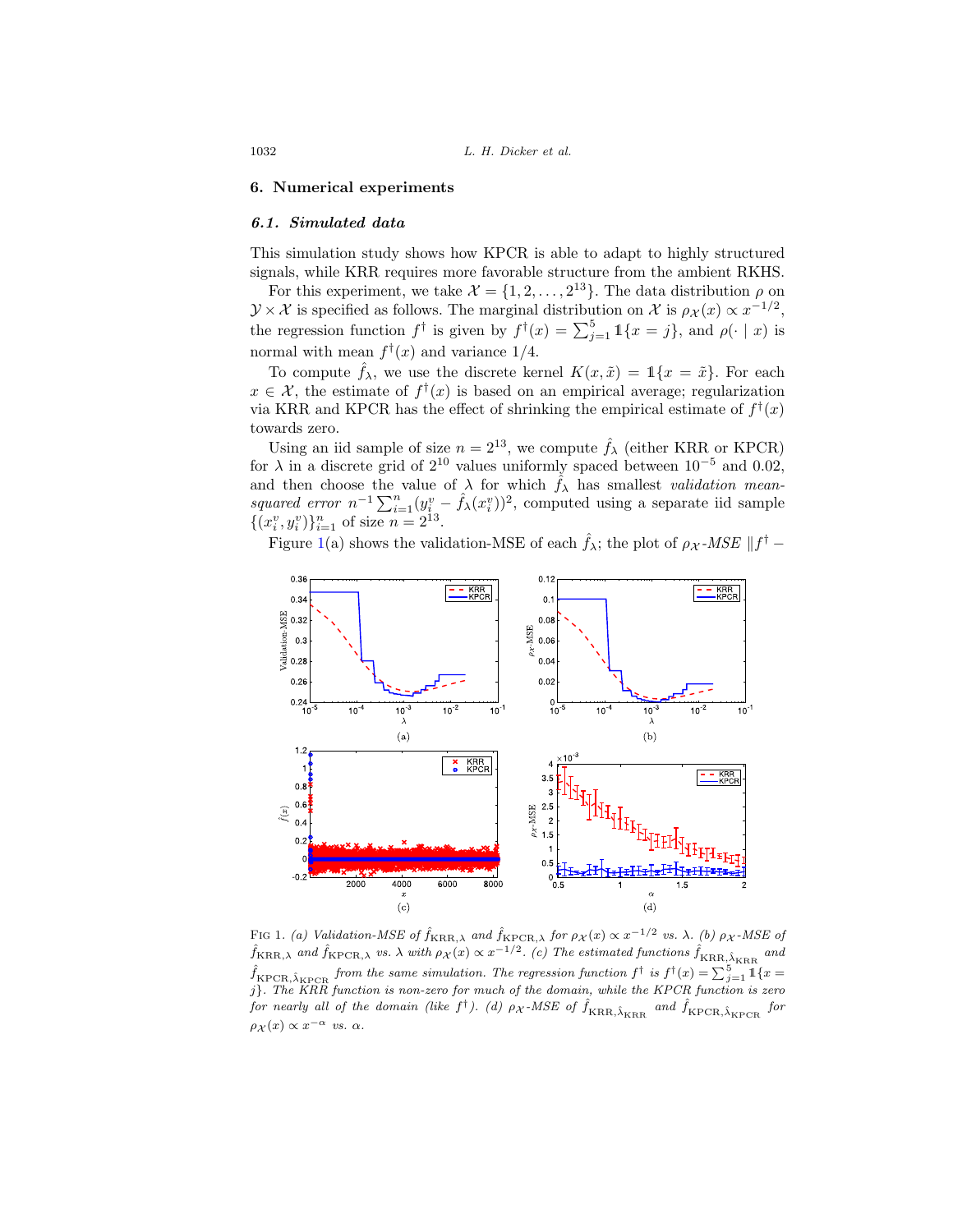#### <span id="page-10-0"></span>**6. Numerical experiments**

#### *6.1. Simulated data*

This simulation study shows how KPCR is able to adapt to highly structured signals, while KRR requires more favorable structure from the ambient RKHS.

For this experiment, we take  $\mathcal{X} = \{1, 2, ..., 2^{13}\}\.$  The data distribution  $\rho$  on  $\mathcal{Y}\times\mathcal{X}$  is specified as follows. The marginal distribution on X is  $\rho_{\mathcal{X}}(x) \propto x^{-1/2}$ , the regression function  $f^{\dagger}$  is given by  $f^{\dagger}(x) = \sum_{j=1}^{5} \mathbb{1}\{x = j\}$ , and  $\rho(\cdot | x)$  is normal with mean  $f^{\dagger}(x)$  and variance 1/4.

To compute  $f_{\lambda}$ , we use the discrete kernel  $K(x, \tilde{x}) = \mathbb{1}\{x = \tilde{x}\}\.$  For each  $x \in \mathcal{X}$ , the estimate of  $f^{\dagger}(x)$  is based on an empirical average; regularization via KRR and KPCR has the effect of shrinking the empirical estimate of  $f^{\dagger}(x)$ towards zero.

Using an iid sample of size  $n = 2^{13}$ , we compute  $\hat{f}_{\lambda}$  (either KRR or KPCR) for  $\lambda$  in a discrete grid of 2<sup>10</sup> values uniformly spaced between 10<sup>-5</sup> and 0.02, and then choose the value of  $\lambda$  for which  $\hat{f}_{\lambda}$  has smallest *validation mean*squared error  $n^{-1} \sum_{i=1}^{n} (y_i^v - \hat{f}_{\lambda}(x_i^v))^2$ , computed using a separate iid sample  $\{(x_i^v, y_i^v)\}_{i=1}^n$  of size  $n = 2^{13}$ .

Figure [1\(](#page-10-1)a) shows the validation-MSE of each  $\hat{f}_{\lambda}$ ; the plot of  $\rho_{\mathcal{X}}$ -MSE  $||f^{\dagger} -$ 



<span id="page-10-1"></span>FIG 1. (a) Validation-MSE of  $\hat{f}_{\text{KRR},\lambda}$  and  $\hat{f}_{\text{KPCR},\lambda}$  for  $\rho_{\mathcal{X}}(x) \propto x^{-1/2}$  vs.  $\lambda$ . (b)  $\rho_{\mathcal{X}}$ -MSE of  $\hat{f}_{\rm KRR,\lambda}$  and  $\hat{f}_{\rm KPCR,\lambda}$  vs.  $\lambda$  with  $\rho_X(x) \propto x^{-1/2}$ . (c) The estimated functions  $\hat{f}_{\rm KRR,\hat{\lambda}_{KRR}}$  and  $\hat{f}_{\textrm{KPCR},\hat{\lambda}_{\textrm{KPCR}}}$  from the same simulation. The regression function  $f^\dagger$  is  $f^\dagger(x)=\sum_{j=1}^5 \mathbbm{1}\{x=1\}$ j}. The KRR function is non-zero for much of the domain, while the KPCR function is zero for nearly all of the domain (like  $f^{\dagger}$ ). (d)  $\rho_{\mathcal{X}}$ -MSE of  $\hat{f}_{\text{KRR}, \hat{\lambda}_{\text{KRR}}}$  and  $\hat{f}_{\text{KPCR}, \hat{\lambda}_{\text{KPCR}}}$  for  $\rho_X(x) \propto x^{-\alpha}$  vs.  $\alpha$ .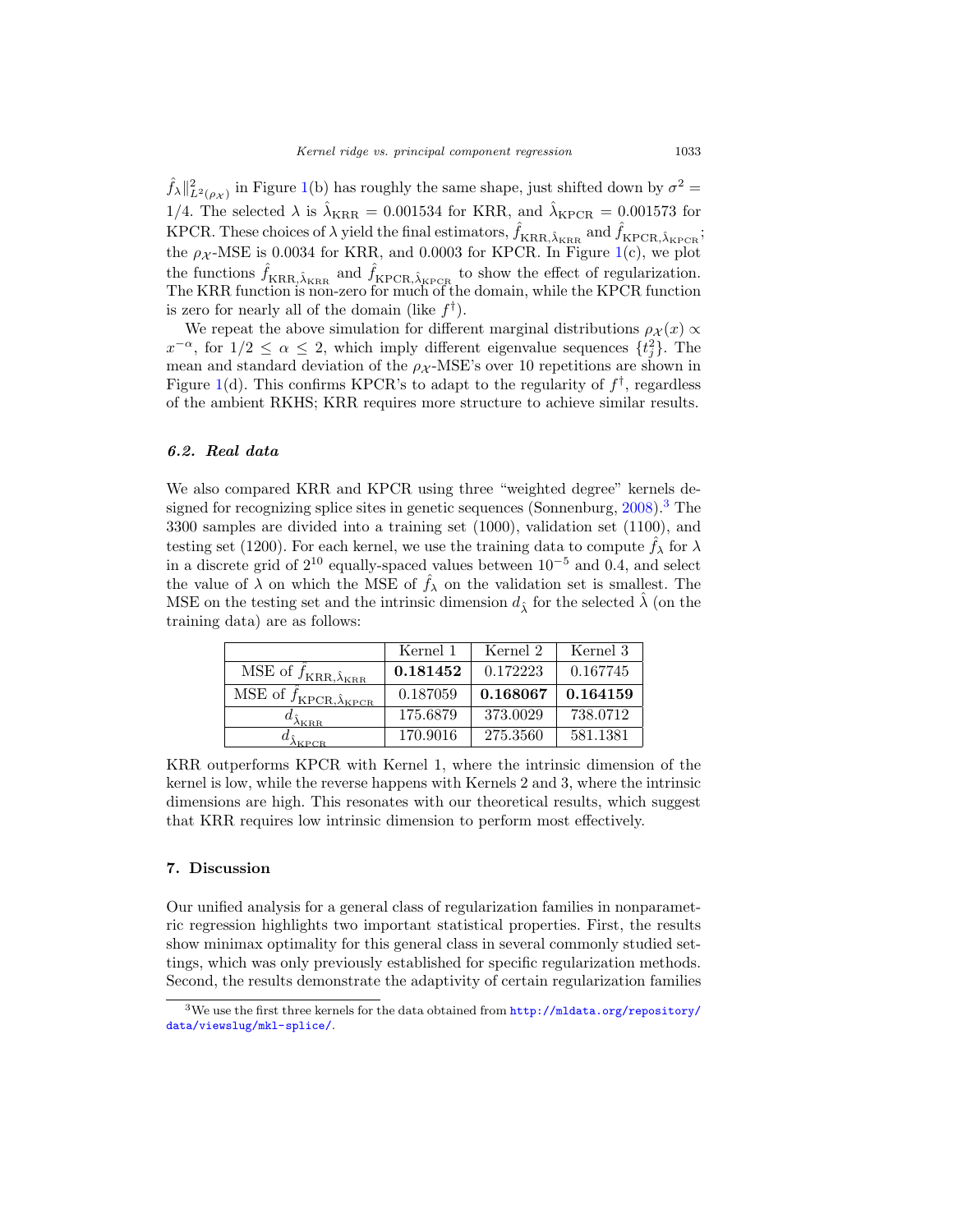$\hat{f}_{\lambda} \|_{L^2(\rho_{\mathcal{X}})}^2$  in Figure [1\(](#page-10-1)b) has roughly the same shape, just shifted down by  $\sigma^2 =$ 1/4. The selected  $\lambda$  is  $\hat{\lambda}_{KRR} = 0.001534$  for KRR, and  $\hat{\lambda}_{KPCR} = 0.001573$  for KPCR. These choices of  $\lambda$  yield the final estimators,  $\hat{f}_{KRR,\hat{\lambda}_{KRR}}$  and  $\hat{f}_{KPCR,\hat{\lambda}_{KPCR}}$ ; the  $\rho_X$ -MSE is 0.0034 for KRR, and 0.0003 for KPCR. In Figure [1\(](#page-10-1)c), we plot the functions  $\hat{f}_{\text{KRR},\hat{\lambda}_{\text{KRR}}}$  and  $\hat{f}_{\text{KPCR},\hat{\lambda}_{\text{KPCR}}}$  to show the effect of regularization. The KRR function is non-zero for much of the domain, while the KPCR function is zero for nearly all of the domain (like  $f^{\dagger}$ ).

We repeat the above simulation for different marginal distributions  $\rho_{\mathcal{X}}(x) \propto$  $x^{-\alpha}$ , for  $1/2 \leq \alpha \leq 2$ , which imply different eigenvalue sequences  $\{t_j^2\}$ . The mean and standard deviation of the  $\rho_X$ -MSE's over 10 repetitions are shown in Figure [1\(](#page-10-1)d). This confirms KPCR's to adapt to the regularity of  $f^{\dagger}$ , regardless of the ambient RKHS; KRR requires more structure to achieve similar results.

#### *6.2. Real data*

We also compared KRR and KPCR using three "weighted degree" kernels de-signed for recognizing splice sites in genetic sequences (Sonnenburg, [2008\)](#page-25-13).<sup>[3](#page-11-0)</sup> The 3300 samples are divided into a training set (1000), validation set (1100), and testing set (1200). For each kernel, we use the training data to compute  $\hat{f}_{\lambda}$  for  $\lambda$ in a discrete grid of  $2^{10}$  equally-spaced values between  $10^{-5}$  and 0.4, and select the value of  $\lambda$  on which the MSE of  $\hat{f}_{\lambda}$  on the validation set is smallest. The MSE on the testing set and the intrinsic dimension  $d<sub>î</sub>$  for the selected  $\lambda$  (on the training data) are as follows:

|                                                      | Kernel 1 | Kernel 2 | Kernel 3 |
|------------------------------------------------------|----------|----------|----------|
| MSE of $f_{\text{KR,\hat{\lambda}_{\text{KRR}}}$     | 0.181452 | 0.172223 | 0.167745 |
| MSE of $f_{\text{KPCR},\hat{\lambda}_{\text{KPCR}}}$ | 0.187059 | 0.168067 | 0.164159 |
| $\omega_{\hat{\lambda}_{\rm KRB}}$                   | 175.6879 | 373.0029 | 738.0712 |
| KPCR.                                                | 170.9016 | 275.3560 | 581.1381 |

KRR outperforms KPCR with Kernel 1, where the intrinsic dimension of the kernel is low, while the reverse happens with Kernels 2 and 3, where the intrinsic dimensions are high. This resonates with our theoretical results, which suggest that KRR requires low intrinsic dimension to perform most effectively.

#### **7. Discussion**

Our unified analysis for a general class of regularization families in nonparametric regression highlights two important statistical properties. First, the results show minimax optimality for this general class in several commonly studied settings, which was only previously established for specific regularization methods. Second, the results demonstrate the adaptivity of certain regularization families

<span id="page-11-0"></span><sup>&</sup>lt;sup>3</sup>We use the first three kernels for the data obtained from  $\text{http://mldata.org/report/}$ [data/viewslug/mkl-splice/](http://mldata.org/repository/data/viewslug/mkl-splice/).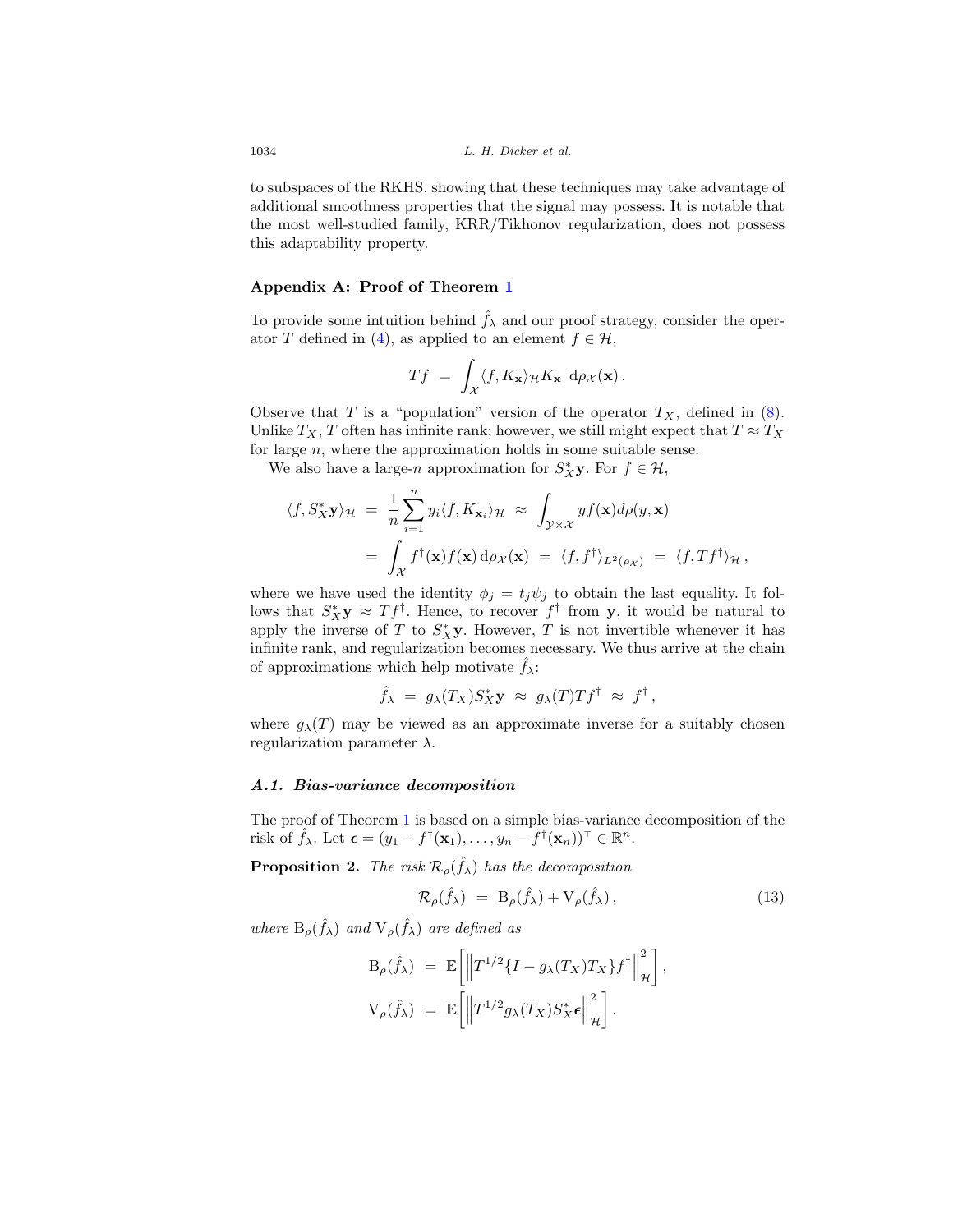to subspaces of the RKHS, showing that these techniques may take advantage of additional smoothness properties that the signal may possess. It is notable that the most well-studied family, KRR/Tikhonov regularization, does not possess this adaptability property.

#### **Appendix A: Proof of Theorem [1](#page-7-0)**

To provide some intuition behind  $\hat{f}_{\lambda}$  and our proof strategy, consider the oper-ator T defined in [\(4\)](#page-4-1), as applied to an element  $f \in \mathcal{H}$ ,

$$
Tf = \int_{\mathcal{X}} \langle f, K_{\mathbf{x}} \rangle_{\mathcal{H}} K_{\mathbf{x}} \, d\rho_{\mathcal{X}}(\mathbf{x}).
$$

Observe that T is a "population" version of the operator  $T_X$ , defined in [\(8\)](#page-5-2). Unlike  $T_X$ , T often has infinite rank; however, we still might expect that  $T \approx T_X$ for large n, where the approximation holds in some suitable sense.

We also have a large-n approximation for  $S_X^*$ **y**. For  $f \in \mathcal{H}$ ,

$$
\langle f, S_X^* \mathbf{y} \rangle_{\mathcal{H}} = \frac{1}{n} \sum_{i=1}^n y_i \langle f, K_{\mathbf{x}_i} \rangle_{\mathcal{H}} \approx \int_{\mathcal{Y} \times \mathcal{X}} y f(\mathbf{x}) d\rho(y, \mathbf{x})
$$
  
= 
$$
\int_{\mathcal{X}} f^{\dagger}(\mathbf{x}) f(\mathbf{x}) d\rho_{\mathcal{X}}(\mathbf{x}) = \langle f, f^{\dagger} \rangle_{L^2(\rho_{\mathcal{X}})} = \langle f, Tf^{\dagger} \rangle_{\mathcal{H}},
$$

where we have used the identity  $\phi_j = t_j \psi_j$  to obtain the last equality. It follows that  $S_X^*$ **y**  $\approx Tf^{\dagger}$ . Hence, to recover  $f^{\dagger}$  from **y**, it would be natural to apply the inverse of T to  $S_X^*$ **y**. However, T is not invertible whenever it has infinite rank, and regularization becomes necessary. We thus arrive at the chain of approximations which help motivate  $\hat{f}_{\lambda}$ :

$$
\hat{f}_{\lambda} = g_{\lambda}(T_X) S_X^* \mathbf{y} \approx g_{\lambda}(T) T f^{\dagger} \approx f^{\dagger},
$$

where  $g_{\lambda}(T)$  may be viewed as an approximate inverse for a suitably chosen regularization parameter  $\lambda$ .

#### *A.1. Bias-variance decomposition*

The proof of Theorem [1](#page-7-0) is based on a simple bias-variance decomposition of the risk of  $\hat{f}_{\lambda}$ . Let  $\boldsymbol{\epsilon} = (y_1 - f^{\dagger}(\mathbf{x}_1), \ldots, y_n - f^{\dagger}(\mathbf{x}_n))^{\top} \in \mathbb{R}^n$ .

<span id="page-12-0"></span>**Proposition 2.** The risk  $\mathcal{R}_{\rho}(\hat{f}_{\lambda})$  has the decomposition

$$
\mathcal{R}_{\rho}(\hat{f}_{\lambda}) = \mathcal{B}_{\rho}(\hat{f}_{\lambda}) + \mathcal{V}_{\rho}(\hat{f}_{\lambda}), \qquad (13)
$$

where  $B_{\rho}(\hat{f}_{\lambda})$  and  $V_{\rho}(\hat{f}_{\lambda})$  are defined as

$$
B_{\rho}(\hat{f}_{\lambda}) = \mathbb{E}\left[\left\|T^{1/2}\{I - g_{\lambda}(T_X)T_X\}f^{\dagger}\right\|_{\mathcal{H}}^2\right],
$$
  

$$
V_{\rho}(\hat{f}_{\lambda}) = \mathbb{E}\left[\left\|T^{1/2}g_{\lambda}(T_X)S_X^*\boldsymbol{\epsilon}\right\|_{\mathcal{H}}^2\right].
$$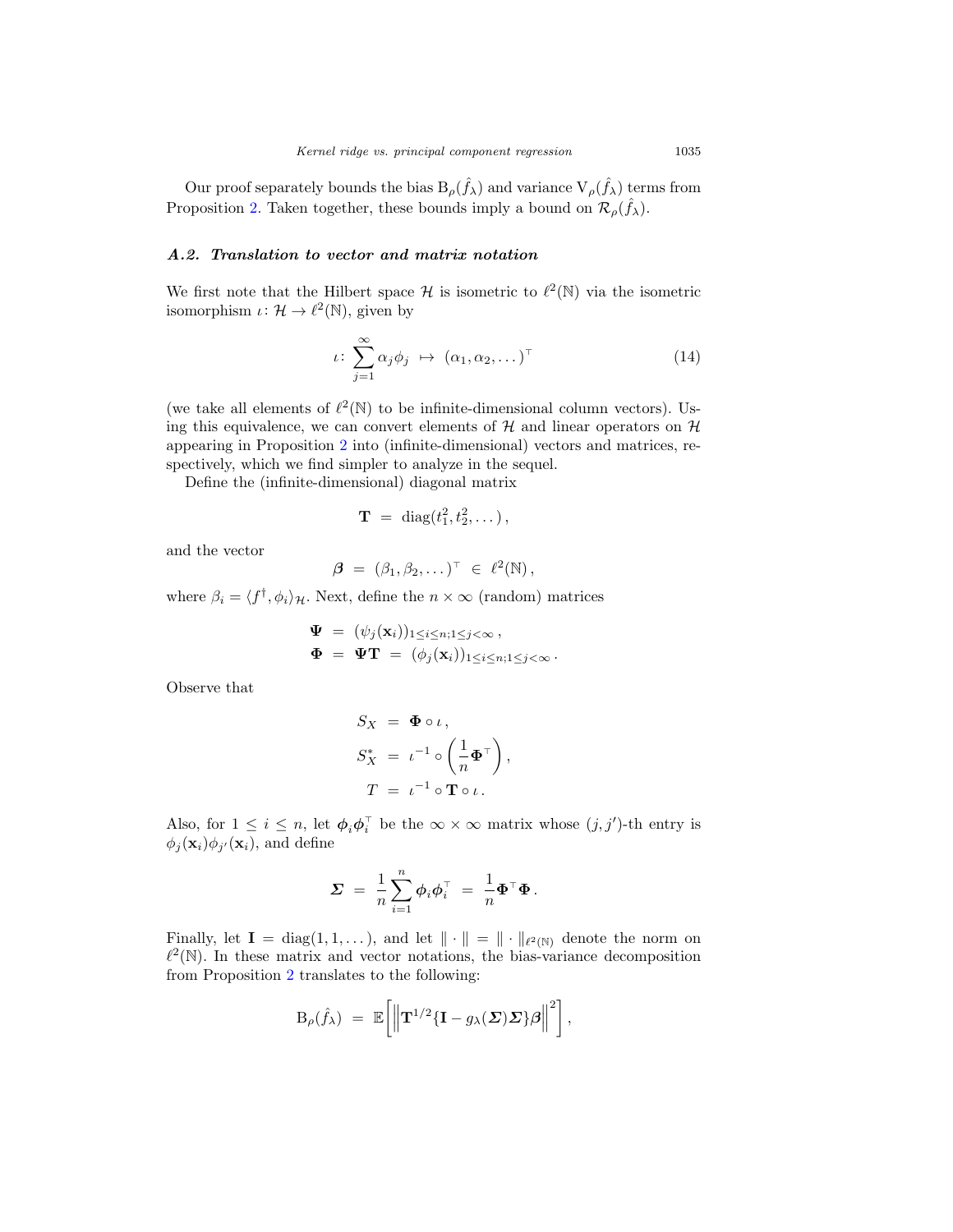Our proof separately bounds the bias  $B_{\rho}(\hat{f}_{\lambda})$  and variance  $V_{\rho}(\hat{f}_{\lambda})$  terms from Proposition [2.](#page-12-0) Taken together, these bounds imply a bound on  $\mathcal{R}_{\rho}(\hat{f}_{\lambda})$ .

## *A.2. Translation to vector and matrix notation*

We first note that the Hilbert space  $\mathcal H$  is isometric to  $\ell^2(\mathbb N)$  via the isometric isomorphism  $\iota: \mathcal{H} \to \ell^2(\mathbb{N})$ , given by

$$
\iota \colon \sum_{j=1}^{\infty} \alpha_j \phi_j \ \mapsto \ (\alpha_1, \alpha_2, \dots)^{\top} \tag{14}
$$

(we take all elements of  $\ell^2(\mathbb{N})$  to be infinite-dimensional column vectors). Using this equivalence, we can convert elements of  $\mathcal H$  and linear operators on  $\mathcal H$ appearing in Proposition [2](#page-12-0) into (infinite-dimensional) vectors and matrices, respectively, which we find simpler to analyze in the sequel.

Define the (infinite-dimensional) diagonal matrix

$$
\mathbf{T} = \text{diag}(t_1^2, t_2^2, \dots),
$$

and the vector

$$
\boldsymbol{\beta} = (\beta_1, \beta_2, \dots)^{\top} \in \ell^2(\mathbb{N}),
$$

where  $\beta_i = \langle f^{\dagger}, \phi_i \rangle_{\mathcal{H}}$ . Next, define the  $n \times \infty$  (random) matrices

$$
\Psi = (\psi_j(\mathbf{x}_i))_{1 \leq i \leq n; 1 \leq j < \infty},
$$
\n
$$
\Phi = \Psi \mathbf{T} = (\phi_j(\mathbf{x}_i))_{1 \leq i \leq n; 1 \leq j < \infty}.
$$

Observe that

$$
S_X = \Phi \circ \iota,
$$
  
\n
$$
S_X^* = \iota^{-1} \circ \left(\frac{1}{n} \Phi^\top\right),
$$
  
\n
$$
T = \iota^{-1} \circ \mathbf{T} \circ \iota.
$$

Also, for  $1 \leq i \leq n$ , let  $\phi_i \phi_i^{\dagger}$  be the  $\infty \times \infty$  matrix whose  $(j, j')$ -th entry is  $\phi_j(\mathbf{x}_i)\phi_{j'}(\mathbf{x}_i)$ , and define

$$
\mathbf{\Sigma} ~=~ \frac{1}{n}\sum_{i=1}^n \boldsymbol{\phi}_i \boldsymbol{\phi}_i^\top ~=~ \frac{1}{n} \boldsymbol{\Phi}^\top \boldsymbol{\Phi}{\,}.
$$

Finally, let  $I = diag(1, 1, \ldots)$ , and let  $\|\cdot\| = \|\cdot\|_{\ell^2(\mathbb{N})}$  denote the norm on  $\ell^2(\mathbb{N})$ . In these matrix and vector notations, the bias-variance decomposition from Proposition [2](#page-12-0) translates to the following:

$$
\mathrm{B}_{\rho}(\hat{f}_{\lambda}) = \mathbb{E}\bigg[\bigg\|\mathbf{T}^{1/2}\{\mathbf{I}-g_{\lambda}(\boldsymbol{\Sigma})\boldsymbol{\Sigma}\}\boldsymbol{\beta}\bigg\|^2\bigg],
$$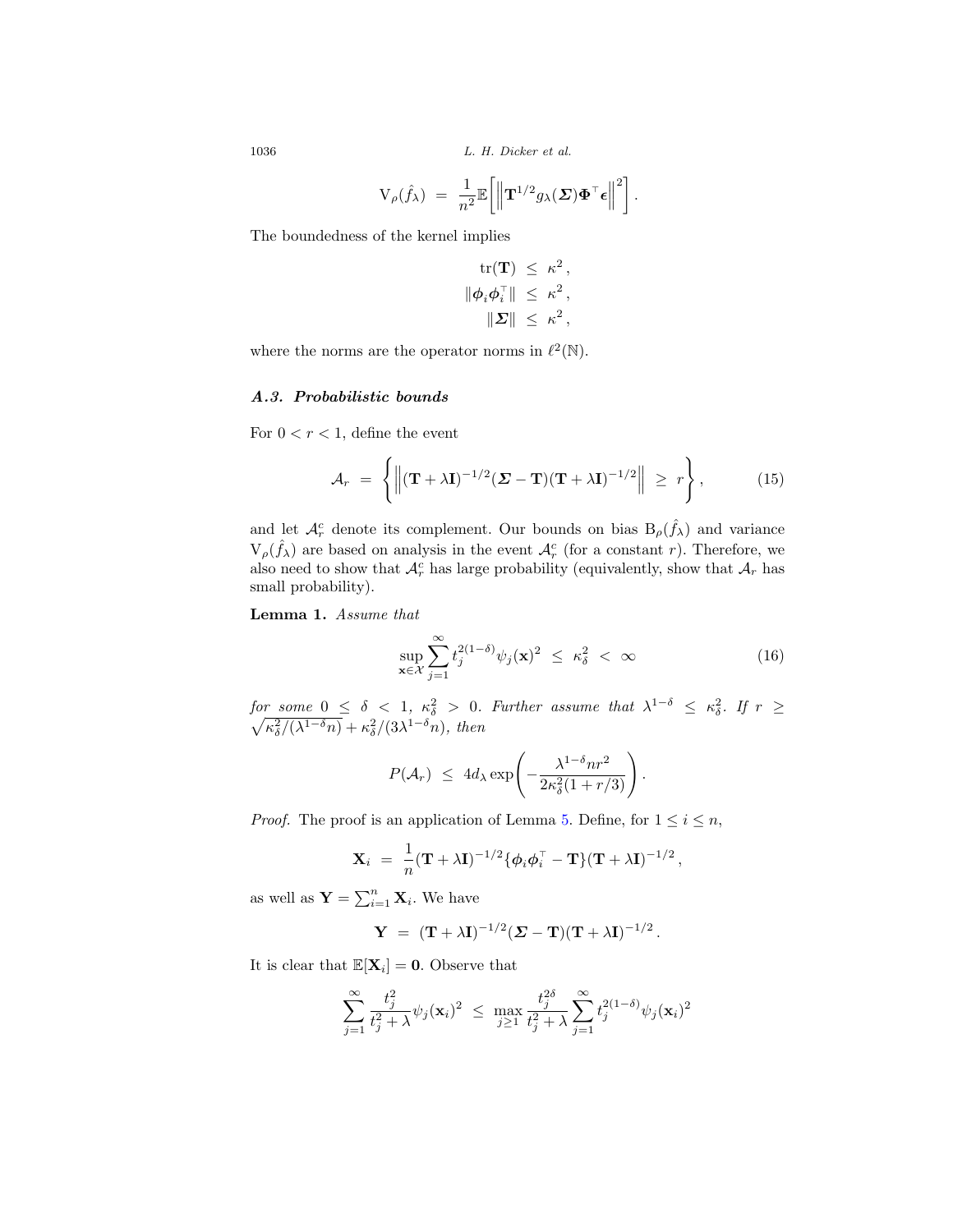$$
V_{\rho}(\hat{f}_{\lambda}) = \frac{1}{n^2} \mathbb{E}\bigg[\bigg\|{\bf T}^{1/2}g_{\lambda}(\boldsymbol{\varSigma})\boldsymbol{\Phi}^{\top}\boldsymbol{\epsilon}\bigg\|^2\bigg].
$$

The boundedness of the kernel implies

$$
\begin{aligned} \text{tr}(\mathbf{T}) \, &\leq \, \kappa^2 \,, \\ \|\phi_i \phi_i^\top \| \, &\leq \, \kappa^2 \,, \\ \|\boldsymbol{\varSigma}\| \, &\leq \, \kappa^2 \,, \end{aligned}
$$

where the norms are the operator norms in  $\ell^2(\mathbb{N})$ .

#### *A.3. Probabilistic bounds*

For  $0 < r < 1$ , define the event

$$
\mathcal{A}_r \ = \ \left\{ \left\| (\mathbf{T} + \lambda \mathbf{I})^{-1/2} (\mathbf{\Sigma} - \mathbf{T}) (\mathbf{T} + \lambda \mathbf{I})^{-1/2} \right\| \ \geq \ r \right\}, \tag{15}
$$

and let  $\mathcal{A}_{r}^{c}$  denote its complement. Our bounds on bias  $B_{\rho}(\hat{f}_{\lambda})$  and variance  $V_{\rho}(\hat{f}_{\lambda})$  are based on analysis in the event  $\mathcal{A}_{r}^{c}$  (for a constant r). Therefore, we also need to show that  $\mathcal{A}_r^c$  has large probability (equivalently, show that  $\mathcal{A}_r$  has small probability).

<span id="page-14-0"></span>**Lemma 1.** Assume that

$$
\sup_{\mathbf{x}\in\mathcal{X}}\sum_{j=1}^{\infty}t_j^{2(1-\delta)}\psi_j(\mathbf{x})^2 \leq \kappa_\delta^2 < \infty \tag{16}
$$

for some  $0 \leq \delta < 1$ ,  $\kappa_{\delta}^2 > 0$ . Further assume that  $\lambda^{1-\delta} \leq \kappa_{\delta}^2$ <br> $\sqrt{\kappa_{\delta}^2/(\lambda^{1-\delta}n)} + \kappa_{\delta}^2/(3\lambda^{1-\delta}n)$ , then . If  $r \geq$  $\kappa_{\delta}^2/(\lambda^{1-\delta}n)+\kappa_{\delta}^2/(3\lambda^{1-\delta}n), \text{ then}$ 

$$
P(\mathcal{A}_r) \leq 4d_\lambda \exp\left(-\frac{\lambda^{1-\delta}nr^2}{2\kappa_\delta^2(1+r/3)}\right).
$$

*Proof.* The proof is an application of Lemma [5.](#page-21-0) Define, for  $1 \leq i \leq n$ ,

$$
\mathbf{X}_i = \frac{1}{n} (\mathbf{T} + \lambda \mathbf{I})^{-1/2} \{ \boldsymbol{\phi}_i \boldsymbol{\phi}_i^\top - \mathbf{T} \} (\mathbf{T} + \lambda \mathbf{I})^{-1/2},
$$

as well as  $\mathbf{Y} = \sum_{i=1}^{n} \mathbf{X}_i$ . We have

$$
\mathbf{Y} = (\mathbf{T} + \lambda \mathbf{I})^{-1/2} (\mathbf{\Sigma} - \mathbf{T}) (\mathbf{T} + \lambda \mathbf{I})^{-1/2}.
$$

It is clear that  $\mathbb{E}[\mathbf{X}_i] = \mathbf{0}$ . Observe that

$$
\sum_{j=1}^{\infty} \frac{t_j^2}{t_j^2 + \lambda} \psi_j(\mathbf{x}_i)^2 \ \leq \ \max_{j\geq 1} \frac{t_j^{2\delta}}{t_j^2 + \lambda} \sum_{j=1}^{\infty} t_j^{2(1-\delta)} \psi_j(\mathbf{x}_i)^2
$$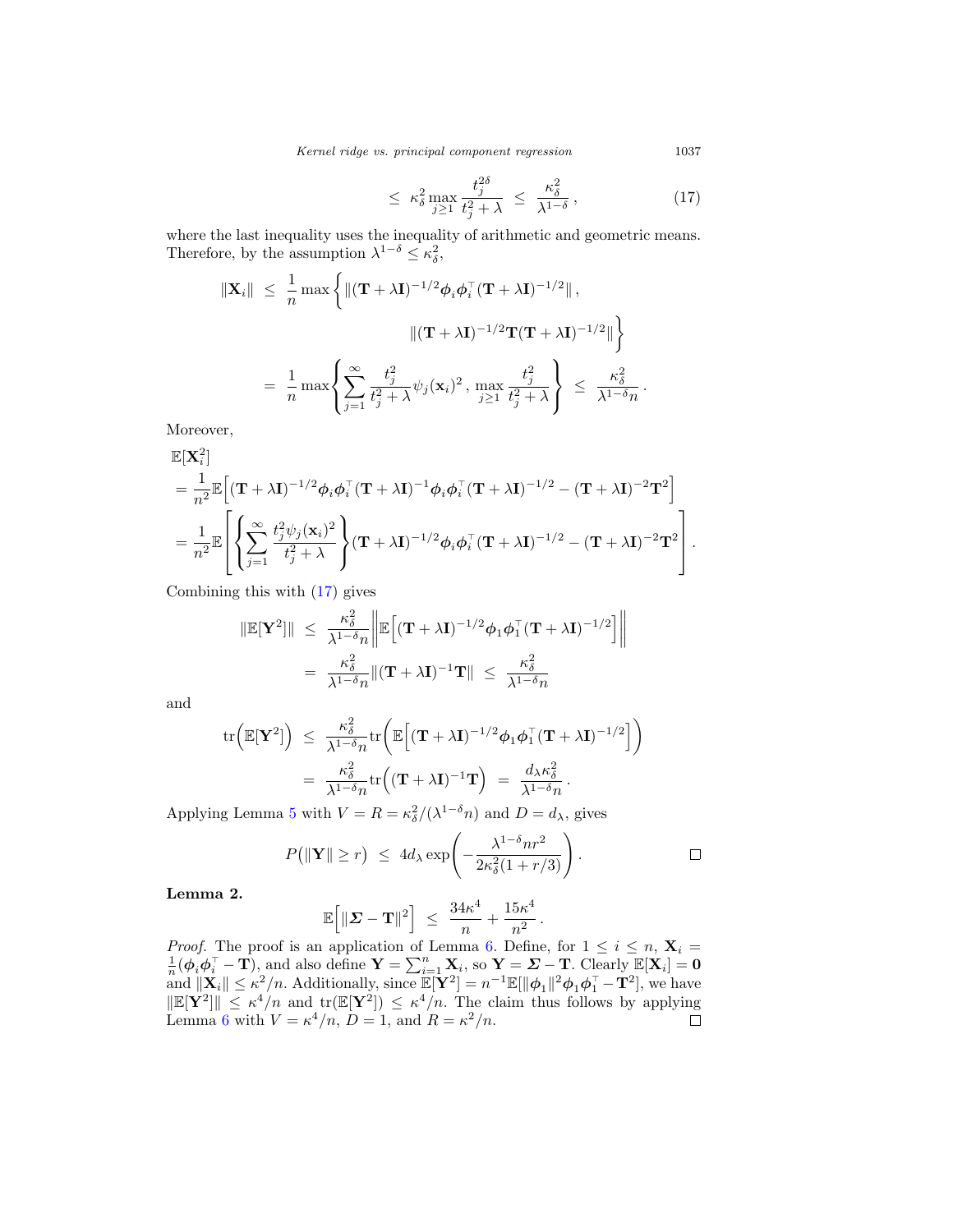Kernel ridge vs. principal component regression 1037

$$
\leq \ \kappa_{\delta}^2 \max_{j\geq 1} \frac{t_j^{2\delta}}{t_j^2 + \lambda} \ \leq \ \frac{\kappa_{\delta}^2}{\lambda^{1-\delta}} \,, \tag{17}
$$

where the last inequality uses the inequality of arithmetic and geometric means. Therefore, by the assumption  $\lambda^{1-\delta} \leq \kappa_{\delta}^2$ ,

$$
\|\mathbf{X}_{i}\| \leq \frac{1}{n} \max \left\{ \|(\mathbf{T} + \lambda \mathbf{I})^{-1/2} \phi_{i} \phi_{i}^{\top} (\mathbf{T} + \lambda \mathbf{I})^{-1/2} \| , \right\}
$$

$$
\| (\mathbf{T} + \lambda \mathbf{I})^{-1/2} \mathbf{T} (\mathbf{T} + \lambda \mathbf{I})^{-1/2} \| \right\}
$$

$$
= \frac{1}{n} \max \left\{ \sum_{j=1}^{\infty} \frac{t_{j}^{2}}{t_{j}^{2} + \lambda} \psi_{j}(\mathbf{x}_{i})^{2}, \max_{j \geq 1} \frac{t_{j}^{2}}{t_{j}^{2} + \lambda} \right\} \leq \frac{\kappa_{\delta}^{2}}{\lambda^{1-\delta} n}.
$$

Moreover,

$$
\mathbb{E}[\mathbf{X}_{i}^{2}]
$$
\n
$$
= \frac{1}{n^{2}} \mathbb{E}\Big[ (\mathbf{T} + \lambda \mathbf{I})^{-1/2} \phi_{i} \phi_{i}^{\top} (\mathbf{T} + \lambda \mathbf{I})^{-1} \phi_{i} \phi_{i}^{\top} (\mathbf{T} + \lambda \mathbf{I})^{-1/2} - (\mathbf{T} + \lambda \mathbf{I})^{-2} \mathbf{T}^{2} \Big]
$$
\n
$$
= \frac{1}{n^{2}} \mathbb{E}\Bigg[ \Bigg\{ \sum_{j=1}^{\infty} \frac{t_{j}^{2} \psi_{j}(\mathbf{x}_{i})^{2}}{t_{j}^{2} + \lambda} \Bigg\} (\mathbf{T} + \lambda \mathbf{I})^{-1/2} \phi_{i} \phi_{i}^{\top} (\mathbf{T} + \lambda \mathbf{I})^{-1/2} - (\mathbf{T} + \lambda \mathbf{I})^{-2} \mathbf{T}^{2} \Bigg].
$$

Combining this with [\(17\)](#page-15-0) gives

$$
\|\mathbb{E}[\mathbf{Y}^2]\| \leq \frac{\kappa_{\delta}^2}{\lambda^{1-\delta}n} \bigg\| \mathbb{E} \Big[ (\mathbf{T} + \lambda \mathbf{I})^{-1/2} \phi_1 \phi_1^{\top} (\mathbf{T} + \lambda \mathbf{I})^{-1/2} \Big] \bigg\|
$$
  
= 
$$
\frac{\kappa_{\delta}^2}{\lambda^{1-\delta}n} \| (\mathbf{T} + \lambda \mathbf{I})^{-1} \mathbf{T} \| \leq \frac{\kappa_{\delta}^2}{\lambda^{1-\delta}n}
$$

and

$$
\mathrm{tr}\Big(\mathbb{E}[\mathbf{Y}^2]\Big) \leq \frac{\kappa_{\delta}^2}{\lambda^{1-\delta}n} \mathrm{tr}\bigg(\mathbb{E}\Big[(\mathbf{T}+\lambda\mathbf{I})^{-1/2}\boldsymbol{\phi}_1\boldsymbol{\phi}_1^{\top}(\mathbf{T}+\lambda\mathbf{I})^{-1/2}\Big]\bigg) \n= \frac{\kappa_{\delta}^2}{\lambda^{1-\delta}n} \mathrm{tr}\Big((\mathbf{T}+\lambda\mathbf{I})^{-1}\mathbf{T}\Big) = \frac{d_{\lambda}\kappa_{\delta}^2}{\lambda^{1-\delta}n}.
$$

Applying Lemma [5](#page-21-0) with  $V = R = \kappa_{\delta}^2/(\lambda^{1-\delta} n)$  and  $D = d_{\lambda}$ , gives

$$
P(\|\mathbf{Y}\| \ge r) \le 4d_{\lambda} \exp\left(-\frac{\lambda^{1-\delta}nr^2}{2\kappa_{\delta}^2(1+r/3)}\right).
$$

<span id="page-15-1"></span>**Lemma 2.**

$$
\mathbb{E}\Big[\|\boldsymbol{\varSigma}-\mathbf{T}\|^2\Big] \ \leq \ \frac{34\kappa^4}{n} + \frac{15\kappa^4}{n^2} \,.
$$

*Proof.* The proof is an application of Lemma [6.](#page-22-0) Define, for  $1 \le i \le n$ ,  $\mathbf{X}_i = \frac{1}{n}(\phi_i \phi_i^\top - \mathbf{T})$ , and also define  $\mathbf{Y} = \sum_{i=1}^n \mathbf{X}_i$ , so  $\mathbf{Y} = \mathbf{\Sigma} - \mathbf{T}$ . Clearly  $\mathbb{E}[\mathbf{X}_i] = \mathbf{0}$ and  $\|\mathbf{X}_i\| \le \kappa^2/n$ . Additionally, since  $\mathbb{E}[\mathbf{Y}^2] = n^{-1}\mathbb{E}[\|\boldsymbol{\phi}_1\|^2 \boldsymbol{\phi}_1 \boldsymbol{\phi}_1^{\top} - \mathbf{T}^2]$ , we have  $\|\mathbb{E}[\mathbf{Y}^2]\| \leq \kappa^4/n$  and  $\text{tr}(\mathbb{E}[\mathbf{Y}^2]) \leq \kappa^4/n$ . The claim thus follows by applying Lemma [6](#page-22-0) with  $V = \kappa^4/n$ ,  $D = 1$ , and  $R = \kappa^2/n$ .

<span id="page-15-0"></span>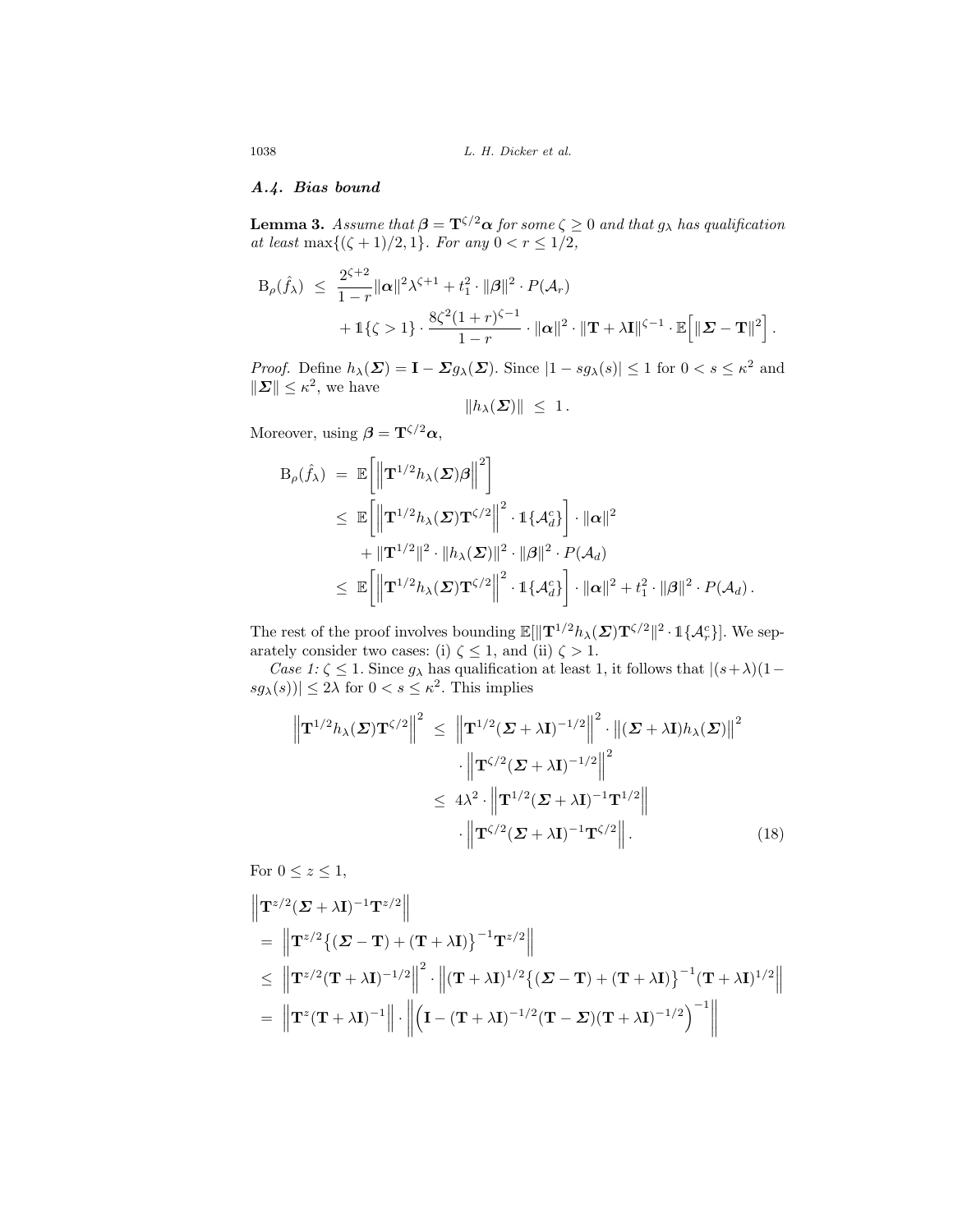# *A.4. Bias bound*

<span id="page-16-1"></span>**Lemma 3.** Assume that  $\beta = \mathbf{T}^{\zeta/2} \alpha$  for some  $\zeta \geq 0$  and that  $g_{\lambda}$  has qualification at least max $\{(\zeta + 1)/2, 1\}$ . For any  $0 < r \leq 1/2$ ,

$$
B_{\rho}(\hat{f}_{\lambda}) \leq \frac{2^{\zeta+2}}{1-r} \|\boldsymbol{\alpha}\|^2 \lambda^{\zeta+1} + t_1^2 \cdot \|\boldsymbol{\beta}\|^2 \cdot P(\mathcal{A}_r) + 1\{\zeta > 1\} \cdot \frac{8\zeta^2 (1+r)^{\zeta-1}}{1-r} \cdot \|\boldsymbol{\alpha}\|^2 \cdot \|\mathbf{T} + \lambda \mathbf{I}\|^{\zeta-1} \cdot \mathbb{E}\Big[\|\boldsymbol{\Sigma} - \mathbf{T}\|^2\Big].
$$

*Proof.* Define  $h_{\lambda}(\Sigma) = \mathbf{I} - \Sigma g_{\lambda}(\Sigma)$ . Since  $|1 - sg_{\lambda}(s)| \leq 1$  for  $0 < s \leq \kappa^2$  and  $\|\boldsymbol{\Sigma}\| \leq \kappa^2$ , we have

$$
||h_\lambda(\boldsymbol{\Sigma})|| \leq 1.
$$

Moreover, using  $\beta = \mathbf{T}^{\zeta/2} \alpha$ ,

$$
B_{\rho}(\hat{f}_{\lambda}) = \mathbb{E}\left[\left\|\mathbf{T}^{1/2}h_{\lambda}(\boldsymbol{\Sigma})\boldsymbol{\beta}\right\|^{2}\right]
$$
  
\n
$$
\leq \mathbb{E}\left[\left\|\mathbf{T}^{1/2}h_{\lambda}(\boldsymbol{\Sigma})\mathbf{T}^{\zeta/2}\right\|^{2} \cdot \mathbb{1}\{\mathcal{A}_{d}^{c}\}\right] \cdot \|\boldsymbol{\alpha}\|^{2}
$$
  
\n
$$
+ \|\mathbf{T}^{1/2}\|^{2} \cdot \|h_{\lambda}(\boldsymbol{\Sigma})\|^{2} \cdot \|\boldsymbol{\beta}\|^{2} \cdot P(\mathcal{A}_{d})
$$
  
\n
$$
\leq \mathbb{E}\left[\left\|\mathbf{T}^{1/2}h_{\lambda}(\boldsymbol{\Sigma})\mathbf{T}^{\zeta/2}\right\|^{2} \cdot \mathbb{1}\{\mathcal{A}_{d}^{c}\}\right] \cdot \|\boldsymbol{\alpha}\|^{2} + t_{1}^{2} \cdot \|\boldsymbol{\beta}\|^{2} \cdot P(\mathcal{A}_{d}).
$$

The rest of the proof involves bounding  $\mathbb{E}[\|\mathbf{T}^{1/2}h_{\lambda}(\boldsymbol{\Sigma})\mathbf{T}^{\zeta/2}\|^2 \cdot \mathbb{1}\{\mathcal{A}_r^c\}].$  We separately consider two cases: (i)  $\zeta \leq 1$ , and (ii)  $\zeta > 1$ .

Case 1:  $\zeta \leq 1$ . Since  $g_{\lambda}$  has qualification at least 1, it follows that  $|(s+\lambda)(1-\lambda)|$  $|sg_{\lambda}(s)| \leq 2\lambda$  for  $0 < s \leq \kappa^2$ . This implies

<span id="page-16-0"></span>
$$
\left\| \mathbf{T}^{1/2} h_{\lambda}(\boldsymbol{\Sigma}) \mathbf{T}^{\zeta/2} \right\|^2 \leq \left\| \mathbf{T}^{1/2} (\boldsymbol{\Sigma} + \lambda \mathbf{I})^{-1/2} \right\|^2 \cdot \left\| (\boldsymbol{\Sigma} + \lambda \mathbf{I}) h_{\lambda}(\boldsymbol{\Sigma}) \right\|^2
$$

$$
\cdot \left\| \mathbf{T}^{\zeta/2} (\boldsymbol{\Sigma} + \lambda \mathbf{I})^{-1/2} \right\|^2
$$

$$
\leq 4\lambda^2 \cdot \left\| \mathbf{T}^{1/2} (\boldsymbol{\Sigma} + \lambda \mathbf{I})^{-1} \mathbf{T}^{1/2} \right\|
$$

$$
\cdot \left\| \mathbf{T}^{\zeta/2} (\boldsymbol{\Sigma} + \lambda \mathbf{I})^{-1} \mathbf{T}^{\zeta/2} \right\|. \tag{18}
$$

For  $0 \leq z \leq 1$ ,

$$
\|\mathbf{T}^{z/2}(\mathbf{\Sigma} + \lambda \mathbf{I})^{-1} \mathbf{T}^{z/2}\|
$$
\n
$$
= \|\mathbf{T}^{z/2}\{(\mathbf{\Sigma} - \mathbf{T}) + (\mathbf{T} + \lambda \mathbf{I})\}^{-1} \mathbf{T}^{z/2}\|
$$
\n
$$
\leq \|\mathbf{T}^{z/2}(\mathbf{T} + \lambda \mathbf{I})^{-1/2}\|^2 \cdot \|(\mathbf{T} + \lambda \mathbf{I})^{1/2}\{(\mathbf{\Sigma} - \mathbf{T}) + (\mathbf{T} + \lambda \mathbf{I})\}^{-1}(\mathbf{T} + \lambda \mathbf{I})^{1/2}\|
$$
\n
$$
= \|\mathbf{T}^{z}(\mathbf{T} + \lambda \mathbf{I})^{-1}\| \cdot \|(\mathbf{I} - (\mathbf{T} + \lambda \mathbf{I})^{-1/2}(\mathbf{T} - \mathbf{\Sigma})(\mathbf{T} + \lambda \mathbf{I})^{-1/2})^{-1}\|
$$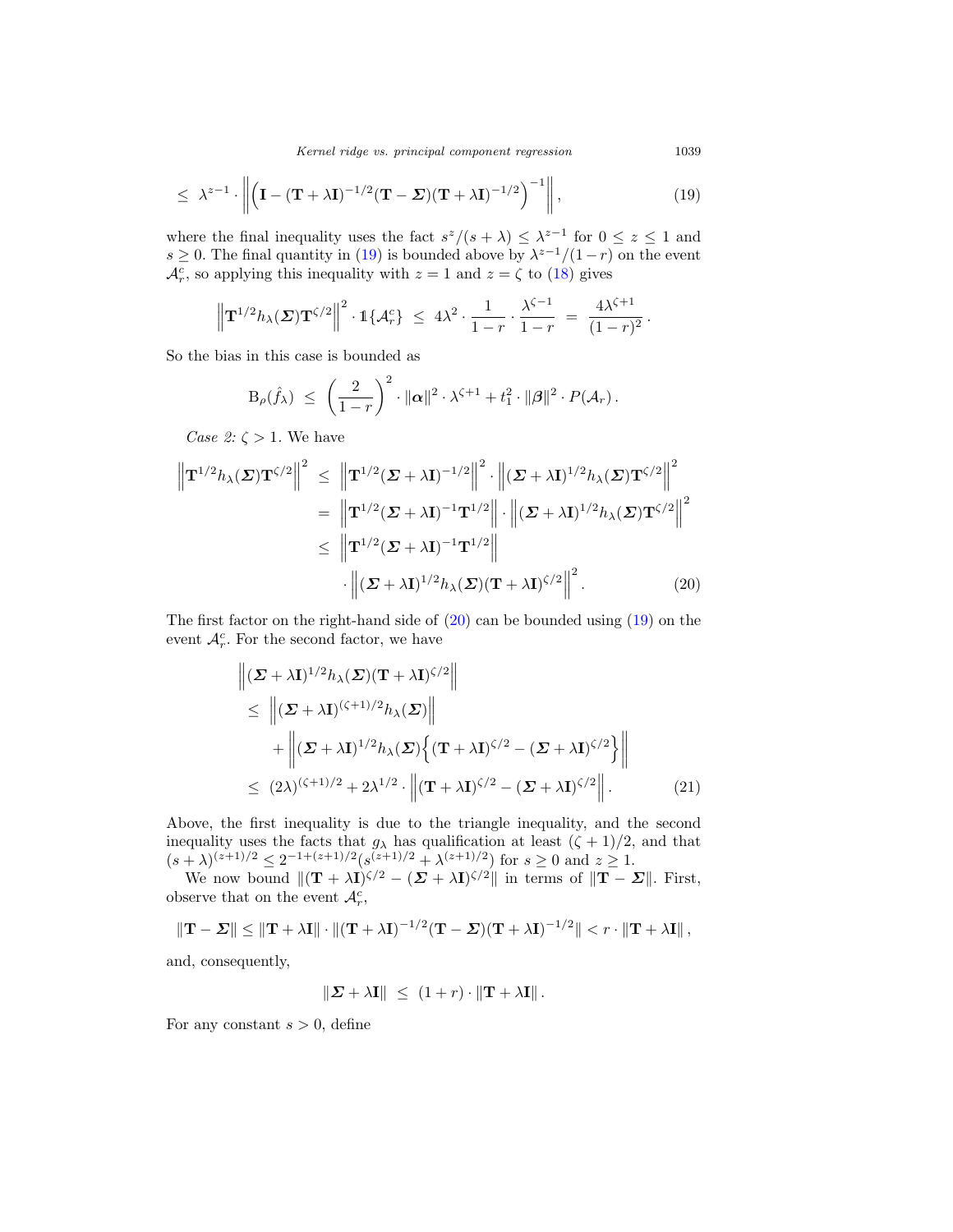Kernel ridge vs. principal component regression 1039

$$
\leq \lambda^{z-1} \cdot \left\| \left( \mathbf{I} - (\mathbf{T} + \lambda \mathbf{I})^{-1/2} (\mathbf{T} - \boldsymbol{\Sigma}) (\mathbf{T} + \lambda \mathbf{I})^{-1/2} \right)^{-1} \right\|,
$$
\n(19)

where the final inequality uses the fact  $s^z/(s + \lambda) \leq \lambda^{z-1}$  for  $0 \leq z \leq 1$  and s ≥ 0. The final quantity in [\(19\)](#page-17-0) is bounded above by  $\lambda^{z-1}/(1-r)$  on the event  $\mathcal{A}_{r}^{c}$ , so applying this inequality with  $z = 1$  and  $z = \zeta$  to [\(18\)](#page-16-0) gives

$$
\left\| {\bf T}^{1/2} h_\lambda({\bf \Sigma}) {\bf T}^{\zeta/2} \right\|^2 \cdot \mathbb{1}\{\mathcal{A}_r^c\} \ \leq \ 4\lambda^2 \cdot \frac{1}{1-r} \cdot \frac{\lambda^{\zeta-1}}{1-r} \ = \ \frac{4\lambda^{\zeta+1}}{(1-r)^2} \, .
$$

So the bias in this case is bounded as

$$
\mathrm{B}_{\rho}(\hat{f}_{\lambda}) \ \leq \ \left(\frac{2}{1-r}\right)^2 \cdot \|\boldsymbol{\alpha}\|^2 \cdot \lambda^{\zeta+1} + t_1^2 \cdot \|\boldsymbol{\beta}\|^2 \cdot P(\mathcal{A}_r) \,.
$$

Case 2:  $\zeta > 1$ . We have

$$
\|\mathbf{T}^{1/2}h_{\lambda}(\boldsymbol{\Sigma})\mathbf{T}^{\zeta/2}\|^2 \leq \left\|\mathbf{T}^{1/2}(\boldsymbol{\Sigma}+\lambda\mathbf{I})^{-1/2}\right\|^2 \cdot \left\|(\boldsymbol{\Sigma}+\lambda\mathbf{I})^{1/2}h_{\lambda}(\boldsymbol{\Sigma})\mathbf{T}^{\zeta/2}\right\|^2
$$

$$
= \left\|\mathbf{T}^{1/2}(\boldsymbol{\Sigma}+\lambda\mathbf{I})^{-1}\mathbf{T}^{1/2}\right\| \cdot \left\|(\boldsymbol{\Sigma}+\lambda\mathbf{I})^{1/2}h_{\lambda}(\boldsymbol{\Sigma})\mathbf{T}^{\zeta/2}\right\|^2
$$

$$
\leq \left\|\mathbf{T}^{1/2}(\boldsymbol{\Sigma}+\lambda\mathbf{I})^{-1}\mathbf{T}^{1/2}\right\|
$$

$$
\cdot \left\|(\boldsymbol{\Sigma}+\lambda\mathbf{I})^{1/2}h_{\lambda}(\boldsymbol{\Sigma})(\mathbf{T}+\lambda\mathbf{I})^{\zeta/2}\right\|^2. \tag{20}
$$

The first factor on the right-hand side of  $(20)$  can be bounded using  $(19)$  on the event  $\mathcal{A}_r^c$ . For the second factor, we have

$$
\|(\boldsymbol{\Sigma} + \lambda \mathbf{I})^{1/2} h_{\lambda}(\boldsymbol{\Sigma}) (\mathbf{T} + \lambda \mathbf{I})^{\zeta/2} \|
$$
\n
$$
\leq \|(\boldsymbol{\Sigma} + \lambda \mathbf{I})^{(\zeta+1)/2} h_{\lambda}(\boldsymbol{\Sigma}) \|
$$
\n
$$
+ \|(\boldsymbol{\Sigma} + \lambda \mathbf{I})^{1/2} h_{\lambda}(\boldsymbol{\Sigma}) \{ (\mathbf{T} + \lambda \mathbf{I})^{\zeta/2} - (\boldsymbol{\Sigma} + \lambda \mathbf{I})^{\zeta/2} \} \|
$$
\n
$$
\leq (2\lambda)^{(\zeta+1)/2} + 2\lambda^{1/2} \cdot \|(\mathbf{T} + \lambda \mathbf{I})^{\zeta/2} - (\boldsymbol{\Sigma} + \lambda \mathbf{I})^{\zeta/2} \|.
$$
\n(21)

Above, the first inequality is due to the triangle inequality, and the second inequality uses the facts that  $g_{\lambda}$  has qualification at least  $(\zeta + 1)/2$ , and that  $(s + \lambda)^{(z+1)/2} \leq 2^{-1+(z+1)/2} (s^{(z+1)/2} + \lambda^{(z+1)/2})$  for  $s \geq 0$  and  $z \geq 1$ .

We now bound  $\|(\mathbf{T} + \lambda \mathbf{I})^{\zeta/2} - (\mathbf{\Sigma} + \lambda \mathbf{I})^{\zeta/2}\|$  in terms of  $\|\mathbf{T} - \mathbf{\Sigma}\|$ . First, observe that on the event  $\mathcal{A}_{r}^{c}$ ,

$$
\|\mathbf{T} - \boldsymbol{\Sigma}\| \le \|\mathbf{T} + \lambda \mathbf{I}\| \cdot \|(\mathbf{T} + \lambda \mathbf{I})^{-1/2} (\mathbf{T} - \boldsymbol{\Sigma}) (\mathbf{T} + \lambda \mathbf{I})^{-1/2} \| < r \cdot \|\mathbf{T} + \lambda \mathbf{I}\|,
$$

and, consequently,

<span id="page-17-2"></span>
$$
\|\mathbf{\Sigma} + \lambda \mathbf{I}\| \leq (1+r) \cdot \|\mathbf{T} + \lambda \mathbf{I}\|.
$$

For any constant  $s > 0$ , define

<span id="page-17-1"></span><span id="page-17-0"></span>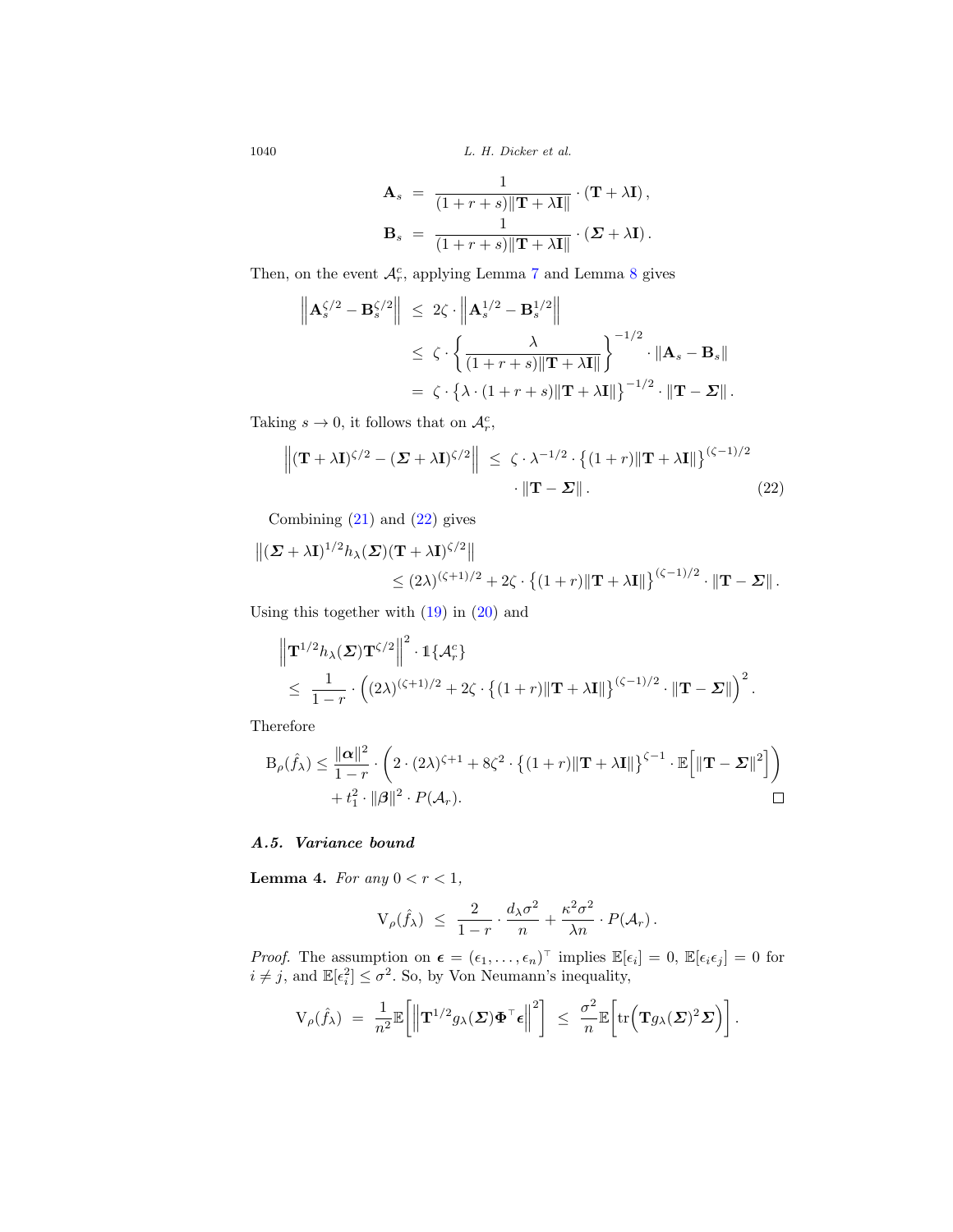$$
\mathbf{A}_s = \frac{1}{(1+r+s)\|\mathbf{T} + \lambda \mathbf{I}\|} \cdot (\mathbf{T} + \lambda \mathbf{I}),
$$

$$
\mathbf{B}_s = \frac{1}{(1+r+s)\|\mathbf{T} + \lambda \mathbf{I}\|} \cdot (\mathbf{\Sigma} + \lambda \mathbf{I}).
$$

Then, on the event  $A_r^c$ , applying Lemma [7](#page-22-1) and Lemma [8](#page-24-13) gives

$$
\left\| \mathbf{A}_{s}^{\zeta/2} - \mathbf{B}_{s}^{\zeta/2} \right\| \leq 2\zeta \cdot \left\| \mathbf{A}_{s}^{1/2} - \mathbf{B}_{s}^{1/2} \right\|
$$
  
\n
$$
\leq \zeta \cdot \left\{ \frac{\lambda}{(1+r+s)\|\mathbf{T} + \lambda \mathbf{I}\|} \right\}^{-1/2} \cdot \|\mathbf{A}_{s} - \mathbf{B}_{s}\|
$$
  
\n
$$
= \zeta \cdot \left\{ \lambda \cdot (1+r+s)\|\mathbf{T} + \lambda \mathbf{I}\| \right\}^{-1/2} \cdot \|\mathbf{T} - \Sigma\|.
$$

Taking  $s \to 0$ , it follows that on  $\mathcal{A}_{r}^{c}$ ,

<span id="page-18-0"></span>
$$
\left\| (\mathbf{T} + \lambda \mathbf{I})^{\zeta/2} - (\boldsymbol{\Sigma} + \lambda \mathbf{I})^{\zeta/2} \right\| \leq \zeta \cdot \lambda^{-1/2} \cdot \left\{ (1+r) \|\mathbf{T} + \lambda \mathbf{I}\| \right\}^{(\zeta-1)/2} \cdot \|\mathbf{T} - \boldsymbol{\Sigma}\|.
$$
 (22)

Combining [\(21\)](#page-17-2) and [\(22\)](#page-18-0) gives

$$
\|(\boldsymbol{\Sigma} + \lambda \mathbf{I})^{1/2} h_{\lambda}(\boldsymbol{\Sigma}) (\mathbf{T} + \lambda \mathbf{I})^{\zeta/2} \|
$$
  
\$\leq (2\lambda)^{(\zeta+1)/2} + 2\zeta \cdot \left\{ (1+r) \|\mathbf{T} + \lambda \mathbf{I}\| \right\}^{(\zeta-1)/2} \cdot \|\mathbf{T} - \boldsymbol{\Sigma}\|\$.

Using this together with  $(19)$  in  $(20)$  and

$$
\|\mathbf{T}^{1/2}h_{\lambda}(\boldsymbol{\Sigma})\mathbf{T}^{\zeta/2}\|^2 \cdot \mathbb{1}\{\mathcal{A}_r^c\}\n\leq \frac{1}{1-r}\cdot \left( (2\lambda)^{(\zeta+1)/2} + 2\zeta \cdot \left\{(1+r)\|\mathbf{T} + \lambda\mathbf{I}\|\right\}^{(\zeta-1)/2} \cdot \|\mathbf{T} - \boldsymbol{\Sigma}\|\right)^2.
$$

Therefore

$$
B_{\rho}(\hat{f}_{\lambda}) \leq \frac{\|\alpha\|^2}{1-r} \cdot \left(2 \cdot (2\lambda)^{\zeta+1} + 8\zeta^2 \cdot \left\{(1+r)\|\mathbf{T} + \lambda \mathbf{I}\|\right\}^{\zeta-1} \cdot \mathbb{E}\Big[\|\mathbf{T} - \boldsymbol{\Sigma}\|^2\Big]\right) + t_1^2 \cdot \|\boldsymbol{\beta}\|^2 \cdot P(\mathcal{A}_r).
$$

# *A.5. Variance bound*

<span id="page-18-1"></span>**Lemma 4.** For any  $0 < r < 1$ ,

$$
V_{\rho}(\hat{f}_{\lambda}) \ \leq \ \frac{2}{1-r} \cdot \frac{d_{\lambda}\sigma^2}{n} + \frac{\kappa^2\sigma^2}{\lambda n} \cdot P(\mathcal{A}_r) \, .
$$

*Proof.* The assumption on  $\boldsymbol{\epsilon} = (\epsilon_1, \ldots, \epsilon_n)^\top$  implies  $\mathbb{E}[\epsilon_i] = 0$ ,  $\mathbb{E}[\epsilon_i \epsilon_j] = 0$  for  $i \neq j$ , and  $\mathbb{E}[\epsilon_i^2] \leq \sigma^2$ . So, by Von Neumann's inequality,

$$
V_{\rho}(\hat{f}_{\lambda}) = \frac{1}{n^2} \mathbb{E}\bigg[\bigg\|\mathbf{T}^{1/2}g_{\lambda}(\boldsymbol{\Sigma})\boldsymbol{\Phi}^{\top}\boldsymbol{\epsilon}\bigg\|^2\bigg] \leq \frac{\sigma^2}{n} \mathbb{E}\bigg[\mathrm{tr}\bigg(\mathbf{T}g_{\lambda}(\boldsymbol{\Sigma})^2\boldsymbol{\Sigma}\bigg)\bigg].
$$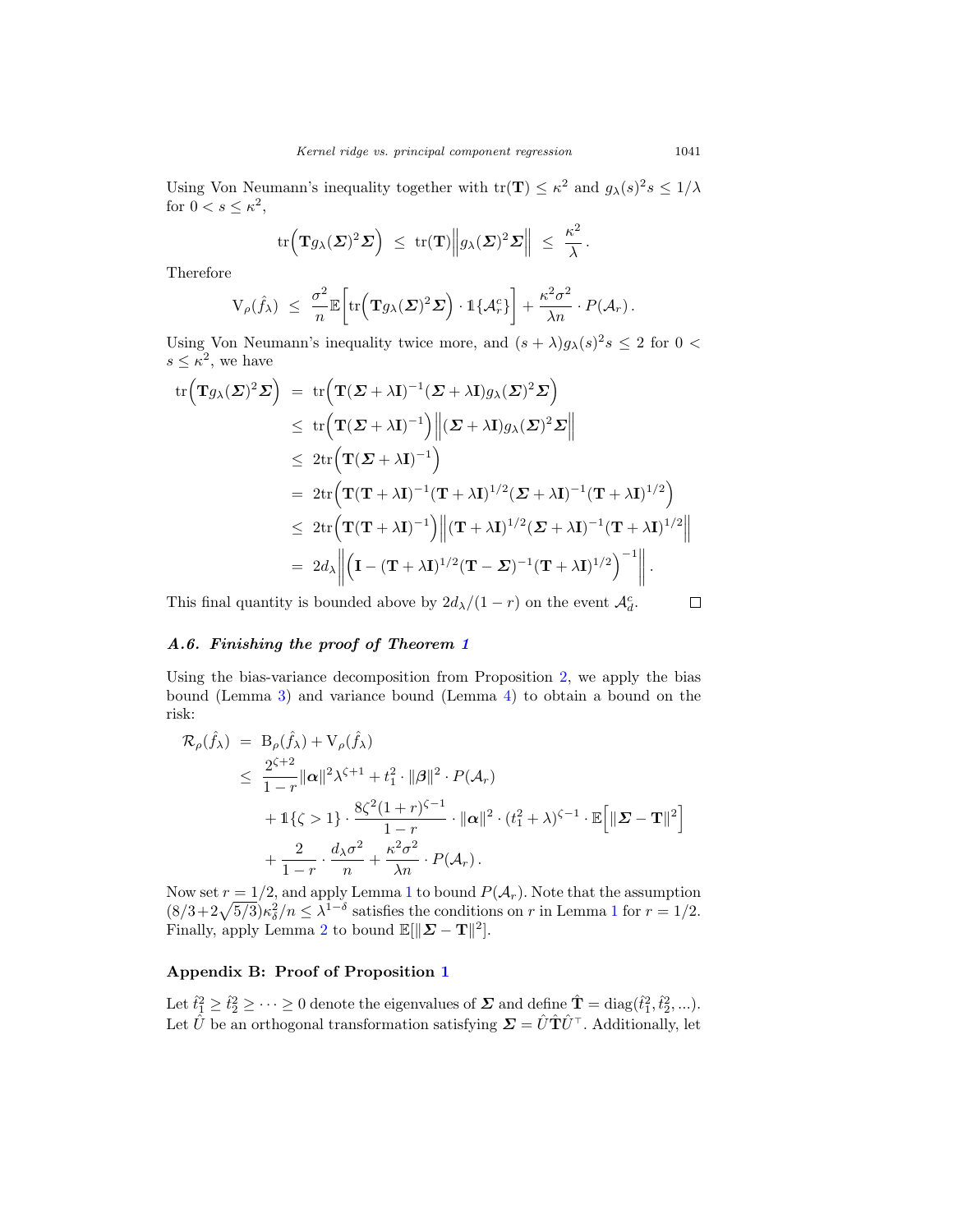Using Von Neumann's inequality together with  $\text{tr}(\mathbf{T}) \leq \kappa^2$  and  $g_{\lambda}(s)^2 s \leq 1/\lambda$ for  $0 < s \leq \kappa^2$ ,

$$
\mathrm{tr}\Big(\mathbf{T} g_\lambda(\boldsymbol{\varSigma})^2\boldsymbol{\varSigma}\Big) \ \leq \ \mathrm{tr}(\mathbf{T})\Big\|g_\lambda(\boldsymbol{\varSigma})^2\boldsymbol{\varSigma}\Big\| \ \leq \ \frac{\kappa^2}{\lambda}\,.
$$

Therefore

$$
V_{\rho}(\hat{f}_{\lambda}) \ \leq \ \frac{\sigma^2}{n} \mathbb{E}\bigg[\mathrm{tr}\Big(\mathbf{T}g_{\lambda}(\boldsymbol{\Sigma})^2\boldsymbol{\Sigma}\Big)\cdot \mathbb{1}\{\mathcal{A}_r^c\}\bigg] + \frac{\kappa^2\sigma^2}{\lambda n}\cdot P(\mathcal{A}_r)\,.
$$

Using Von Neumann's inequality twice more, and  $(s + \lambda)g_{\lambda}(s)^{2} s \leq 2$  for  $0 <$  $s \leq \tilde{\kappa}^2$ , we have

$$
\operatorname{tr}\left(\mathbf{T}g_{\lambda}(\boldsymbol{\Sigma})^{2}\boldsymbol{\Sigma}\right) = \operatorname{tr}\left(\mathbf{T}(\boldsymbol{\Sigma}+\lambda\mathbf{I})^{-1}(\boldsymbol{\Sigma}+\lambda\mathbf{I})g_{\lambda}(\boldsymbol{\Sigma})^{2}\boldsymbol{\Sigma}\right)
$$
\n
$$
\leq \operatorname{tr}\left(\mathbf{T}(\boldsymbol{\Sigma}+\lambda\mathbf{I})^{-1}\right) \left\|(\boldsymbol{\Sigma}+\lambda\mathbf{I})g_{\lambda}(\boldsymbol{\Sigma})^{2}\boldsymbol{\Sigma}\right\|
$$
\n
$$
\leq 2\operatorname{tr}\left(\mathbf{T}(\boldsymbol{\Sigma}+\lambda\mathbf{I})^{-1}\right)
$$
\n
$$
= 2\operatorname{tr}\left(\mathbf{T}(\mathbf{T}+\lambda\mathbf{I})^{-1}(\mathbf{T}+\lambda\mathbf{I})^{1/2}(\boldsymbol{\Sigma}+\lambda\mathbf{I})^{-1}(\mathbf{T}+\lambda\mathbf{I})^{1/2}\right)
$$
\n
$$
\leq 2\operatorname{tr}\left(\mathbf{T}(\mathbf{T}+\lambda\mathbf{I})^{-1}\right) \left\|(\mathbf{T}+\lambda\mathbf{I})^{1/2}(\boldsymbol{\Sigma}+\lambda\mathbf{I})^{-1}(\mathbf{T}+\lambda\mathbf{I})^{1/2}\right\|
$$
\n
$$
= 2d_{\lambda} \left\| \left(\mathbf{I} - (\mathbf{T}+\lambda\mathbf{I})^{1/2}(\mathbf{T}-\boldsymbol{\Sigma})^{-1}(\mathbf{T}+\lambda\mathbf{I})^{1/2}\right)^{-1} \right\|.
$$

This final quantity is bounded above by  $2d_{\lambda}/(1-r)$  on the event  $\mathcal{A}_{d}^{c}$ .

#### $\Box$

#### *A.6. Finishing the proof of Theorem [1](#page-7-0)*

Using the bias-variance decomposition from Proposition [2,](#page-12-0) we apply the bias bound (Lemma [3\)](#page-16-1) and variance bound (Lemma [4\)](#page-18-1) to obtain a bound on the risk:

$$
\mathcal{R}_{\rho}(\hat{f}_{\lambda}) = B_{\rho}(\hat{f}_{\lambda}) + V_{\rho}(\hat{f}_{\lambda})
$$
\n
$$
\leq \frac{2^{\zeta+2}}{1-r} ||\boldsymbol{\alpha}||^{2} \lambda^{\zeta+1} + t_{1}^{2} \cdot ||\boldsymbol{\beta}||^{2} \cdot P(\mathcal{A}_{r})
$$
\n
$$
+ 1\{\zeta > 1\} \cdot \frac{8\zeta^{2}(1+r)^{\zeta-1}}{1-r} \cdot ||\boldsymbol{\alpha}||^{2} \cdot (t_{1}^{2} + \lambda)^{\zeta-1} \cdot \mathbb{E}\Big[||\boldsymbol{\Sigma} - \mathbf{T}||^{2}\Big]
$$
\n
$$
+ \frac{2}{1-r} \cdot \frac{d_{\lambda}\sigma^{2}}{n} + \frac{\kappa^{2}\sigma^{2}}{\lambda n} \cdot P(\mathcal{A}_{r}).
$$

Now set  $r = 1/2$  $r = 1/2$  $r = 1/2$ , and apply Lemma 1 to bound  $P(\mathcal{A}_r)$ . Note that the assumption  $(8/3+2\sqrt{5/3})\kappa_{\delta}^2/n \leq \lambda^{1-\delta}$  $(8/3+2\sqrt{5/3})\kappa_{\delta}^2/n \leq \lambda^{1-\delta}$  $(8/3+2\sqrt{5/3})\kappa_{\delta}^2/n \leq \lambda^{1-\delta}$  satisfies the conditions on r in Lemma 1 for  $r = 1/2$ . Finally, apply Lemma [2](#page-15-1) to bound  $\mathbb{E}[\|\mathbf{\Sigma} - \mathbf{T}\|^2].$ 

# **Appendix B: Proof of Proposition [1](#page-9-1)**

Let  $\hat{t}_1^2 \geq \hat{t}_2^2 \geq \cdots \geq 0$  denote the eigenvalues of  $\Sigma$  and define  $\hat{T} = \text{diag}(\hat{t}_1^2, \hat{t}_2^2, \ldots)$ . Let  $\hat{U}$  be an orthogonal transformation satisfying  $\mathbf{\Sigma} = \hat{U}\hat{\mathbf{T}}\hat{U}^{\top}$ . Additionally, let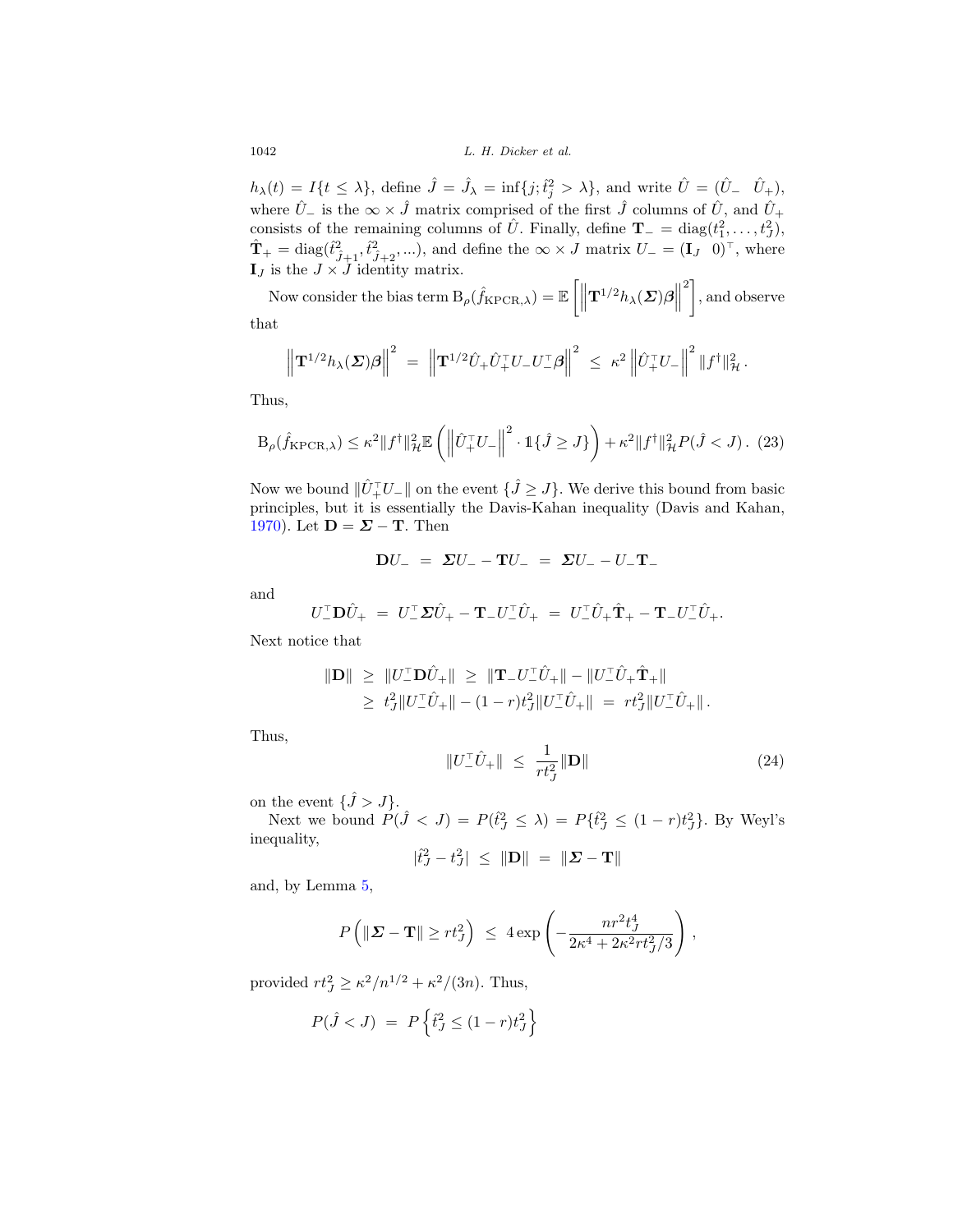$h_{\lambda}(t) = I\{t \leq \lambda\},\$ define  $\hat{J} = \hat{J}_{\lambda} = \inf\{j;\hat{t}_j^2 > \lambda\},\$ and write  $\hat{U} = (\hat{U}_{-} \quad \hat{U}_{+}),$ where  $\hat{U}_-$  is the  $\infty \times \hat{J}$  matrix comprised of the first  $\hat{J}$  columns of  $\hat{U}$ , and  $\hat{U}_+$ consists of the remaining columns of  $\hat{U}$ . Finally, define **T**<sub>−</sub> = diag( $t_1^2, ..., t_J^2$ ),  $\hat{\mathbf{T}}_+ = \text{diag}(\hat{t}_{\hat{J}+1}^2, \hat{t}_{\hat{J}+2}^2, \ldots)$ , and define the  $\infty \times J$  matrix  $U_- = (\mathbf{I}_J \quad 0)^{\top}$ , where  $\mathbf{I}_J$  is the  $J \times J$  identity matrix.

Now consider the bias term  $B_{\rho}(\hat{f}_{\text{KPCR},\lambda}) = \mathbb{E}\left[\left\|\mathbf{T}^{1/2}h_{\lambda}(\boldsymbol{\Sigma})\boldsymbol{\beta}\right\|\right]$  $\binom{2}{1}$ , and observe that

$$
\left\| \mathbf{T}^{1/2} h_\lambda(\boldsymbol{\varSigma}) \boldsymbol{\beta} \right\|^2 \; = \; \left\| \mathbf{T}^{1/2} \hat{U}_+ \hat{U}_+^\top U_- U_-^\top \boldsymbol{\beta} \right\|^2 \; \leq \; \kappa^2 \left\| \hat{U}_+^\top U_- \right\|^2 \left\| f^\dagger \right\|_{\mathcal{H}}^2.
$$

Thus,

<span id="page-20-0"></span>
$$
\mathcal{B}_{\rho}(\hat{f}_{\mathrm{KPCR},\lambda}) \leq \kappa^2 \|f^{\dagger}\|_{\mathcal{H}}^2 \mathbb{E}\left(\left\|\hat{U}_+^{\top}U_-\right\|^2 \cdot \mathbb{1}\{\hat{J} \geq J\}\right) + \kappa^2 \|f^{\dagger}\|_{\mathcal{H}}^2 P(\hat{J} < J). \tag{23}
$$

Now we bound  $\|\hat{U}_+^{\dagger}U_-\|$  on the event  $\{\hat{J} \geq J\}$ . We derive this bound from basic principles, but it is essentially the Davis-Kahan inequality (Davis and Kahan, [1970\)](#page-24-7). Let  $\mathbf{D} = \mathbf{\Sigma} - \mathbf{T}$ . Then

$$
DU_{-} = \Sigma U_{-} - TU_{-} = \Sigma U_{-} - U_{-}T_{-}
$$

and

$$
U_{-}^{\top} \mathbf{D} \hat{U}_{+} = U_{-}^{\top} \mathbf{\Sigma} \hat{U}_{+} - \mathbf{T}_{-} U_{-}^{\top} \hat{U}_{+} = U_{-}^{\top} \hat{U}_{+} \hat{\mathbf{T}}_{+} - \mathbf{T}_{-} U_{-}^{\top} \hat{U}_{+}.
$$

Next notice that

$$
\begin{aligned} \|\mathbf{D}\| \ &\geq \ & \|U_{-}^{\top}\mathbf{D}\hat{U}_{+}\| \ &\geq \ & \|{\mathbf{T}}_{-}U_{-}^{\top}\hat{U}_{+}\| - \|U_{-}^{\top}\hat{U}_{+}\hat{\mathbf{T}}_{+}\| \\ &\geq \ & t_{J}^{2}\|U_{-}^{\top}\hat{U}_{+}\| - (1-r)t_{J}^{2}\|U_{-}^{\top}\hat{U}_{+}\| \ = \ & rt_{J}^{2}\|U_{-}^{\top}\hat{U}_{+}\| \, . \end{aligned}
$$

Thus,

$$
||U_{-}^{\top}\hat{U}_{+}|| \leq \frac{1}{rt_{J}^{2}} ||\mathbf{D}|| \tag{24}
$$

on the event  $\{\hat{J} > J\}$ .

Next we bound  $P(\hat{J} < J) = P(\hat{t}_J^2 \leq \lambda) = P\{\hat{t}_J^2 \leq (1 - r)t_J^2\}$ . By Weyl's inequality,

$$
|\hat{t}_J^2 - t_J^2| \leq ||\mathbf{D}|| = ||\mathbf{\Sigma} - \mathbf{T}||
$$

and, by Lemma [5,](#page-21-0)

$$
P\left(\|\mathbf{\Sigma} - \mathbf{T}\| \ge rt_J^2\right) \ \le \ 4 \exp\left(-\frac{nr^2t_J^4}{2\kappa^4 + 2\kappa^2rt_J^2/3}\right) \,,
$$

provided  $rt_J^2 \ge \kappa^2/n^{1/2} + \kappa^2/(3n)$ . Thus,

$$
P(\hat{J} < J) = P\left\{\hat{t}_J^2 \le (1 - r)t_J^2\right\}
$$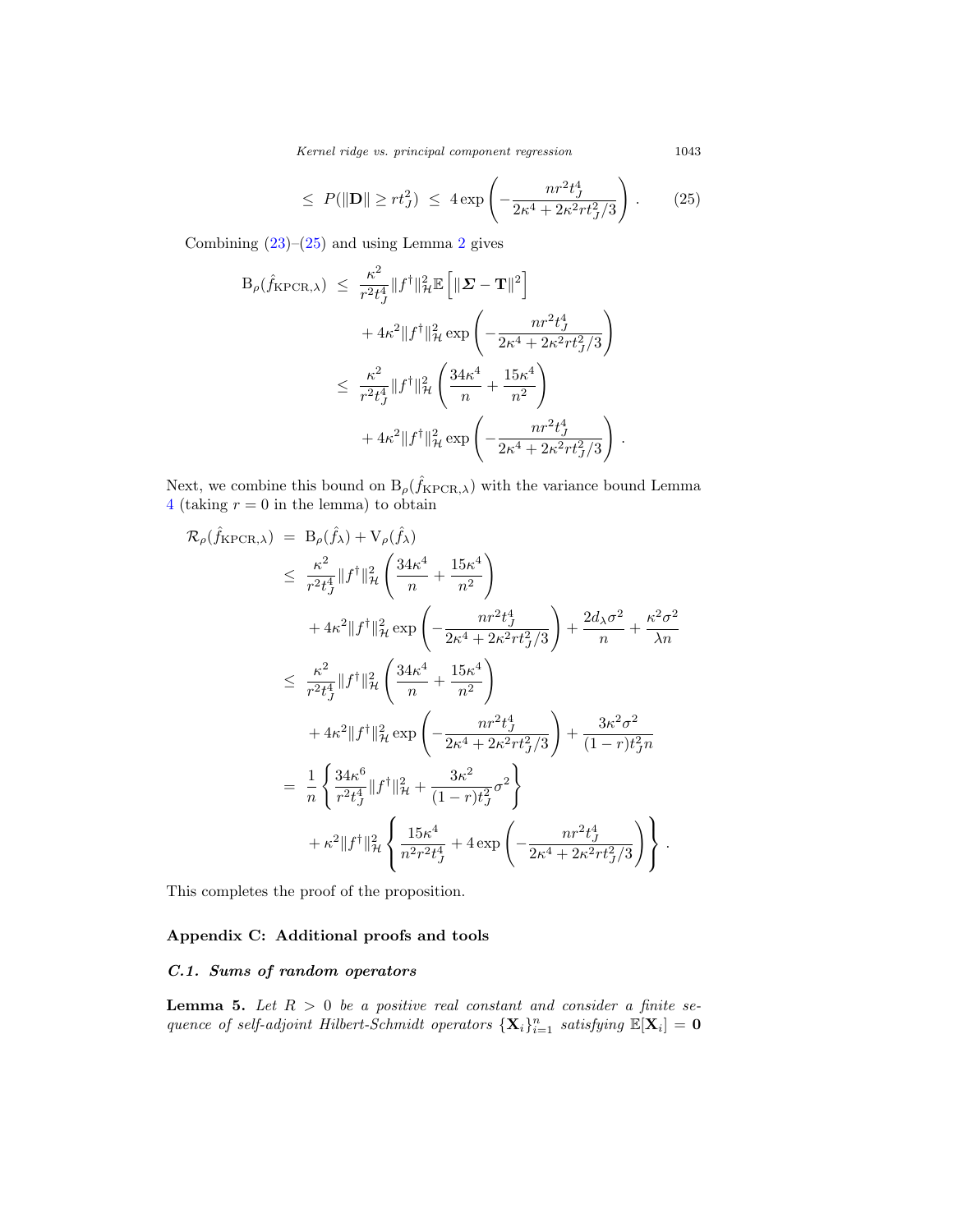Kernel ridge vs. principal component regression 1043

$$
\leq P(\|\mathbf{D}\| \geq rt_J^2) \leq 4 \exp\left(-\frac{nr^2 t_J^4}{2\kappa^4 + 2\kappa^2 rt_J^2/3}\right). \tag{25}
$$

Combining  $(23)-(25)$  $(23)-(25)$  $(23)-(25)$  and using Lemma [2](#page-15-1) gives

$$
B_{\rho}(\hat{f}_{\text{KPCR},\lambda}) \leq \frac{\kappa^2}{r^2 t_J^4} \|f^{\dagger}\|_{\mathcal{H}}^2 \mathbb{E} \left[ \|\mathbf{\Sigma} - \mathbf{T}\|^2 \right] + 4\kappa^2 \|f^{\dagger}\|_{\mathcal{H}}^2 \exp \left( -\frac{nr^2 t_J^4}{2\kappa^4 + 2\kappa^2 r t_J^2 / 3} \right) \leq \frac{\kappa^2}{r^2 t_J^4} \|f^{\dagger}\|_{\mathcal{H}}^2 \left( \frac{34\kappa^4}{n} + \frac{15\kappa^4}{n^2} \right) + 4\kappa^2 \|f^{\dagger}\|_{\mathcal{H}}^2 \exp \left( -\frac{nr^2 t_J^4}{2\kappa^4 + 2\kappa^2 r t_J^2 / 3} \right).
$$

Next, we combine this bound on  $B_{\rho}(\hat{f}_{KPCR,\lambda})$  with the variance bound Lemma [4](#page-18-1) (taking  $r = 0$  in the lemma) to obtain

$$
\mathcal{R}_{\rho}(\hat{f}_{\text{KPCR},\lambda}) = B_{\rho}(\hat{f}_{\lambda}) + V_{\rho}(\hat{f}_{\lambda})
$$
\n
$$
\leq \frac{\kappa^{2}}{r^{2}t^{4}} \|f^{\dagger}\|_{\mathcal{H}}^{2} \left( \frac{34\kappa^{4}}{n} + \frac{15\kappa^{4}}{n^{2}} \right)
$$
\n
$$
+ 4\kappa^{2} \|f^{\dagger}\|_{\mathcal{H}}^{2} \exp\left( -\frac{n r^{2} t_{J}^{4}}{2\kappa^{4} + 2\kappa^{2} r t_{J}^{2} / 3} \right) + \frac{2d_{\lambda}\sigma^{2}}{n} + \frac{\kappa^{2} \sigma^{2}}{\lambda n}
$$
\n
$$
\leq \frac{\kappa^{2}}{r^{2}t_{J}^{4}} \|f^{\dagger}\|_{\mathcal{H}}^{2} \left( \frac{34\kappa^{4}}{n} + \frac{15\kappa^{4}}{n^{2}} \right)
$$
\n
$$
+ 4\kappa^{2} \|f^{\dagger}\|_{\mathcal{H}}^{2} \exp\left( -\frac{n r^{2} t_{J}^{4}}{2\kappa^{4} + 2\kappa^{2} r t_{J}^{2} / 3} \right) + \frac{3\kappa^{2} \sigma^{2}}{(1 - r) t_{J}^{2} n}
$$
\n
$$
= \frac{1}{n} \left\{ \frac{34\kappa^{6}}{r^{2}t_{J}^{4}} \|f^{\dagger}\|_{\mathcal{H}}^{2} + \frac{3\kappa^{2}}{(1 - r) t_{J}^{2}} \sigma^{2} \right\}
$$
\n
$$
+ \kappa^{2} \|f^{\dagger}\|_{\mathcal{H}}^{2} \left\{ \frac{15\kappa^{4}}{n^{2} r^{2} t_{J}^{4}} + 4 \exp\left( -\frac{n r^{2} t_{J}^{4}}{2\kappa^{4} + 2\kappa^{2} r t_{J}^{2} / 3} \right) \right\}.
$$

This completes the proof of the proposition.

# **Appendix C: Additional proofs and tools**

# *C.1. Sums of random operators*

<span id="page-21-0"></span>**Lemma 5.** Let  $R > 0$  be a positive real constant and consider a finite sequence of self-adjoint Hilbert-Schmidt operators  $\{X_i\}_{i=1}^n$  satisfying  $\mathbb{E}[X_i] = 0$ 

<span id="page-21-1"></span>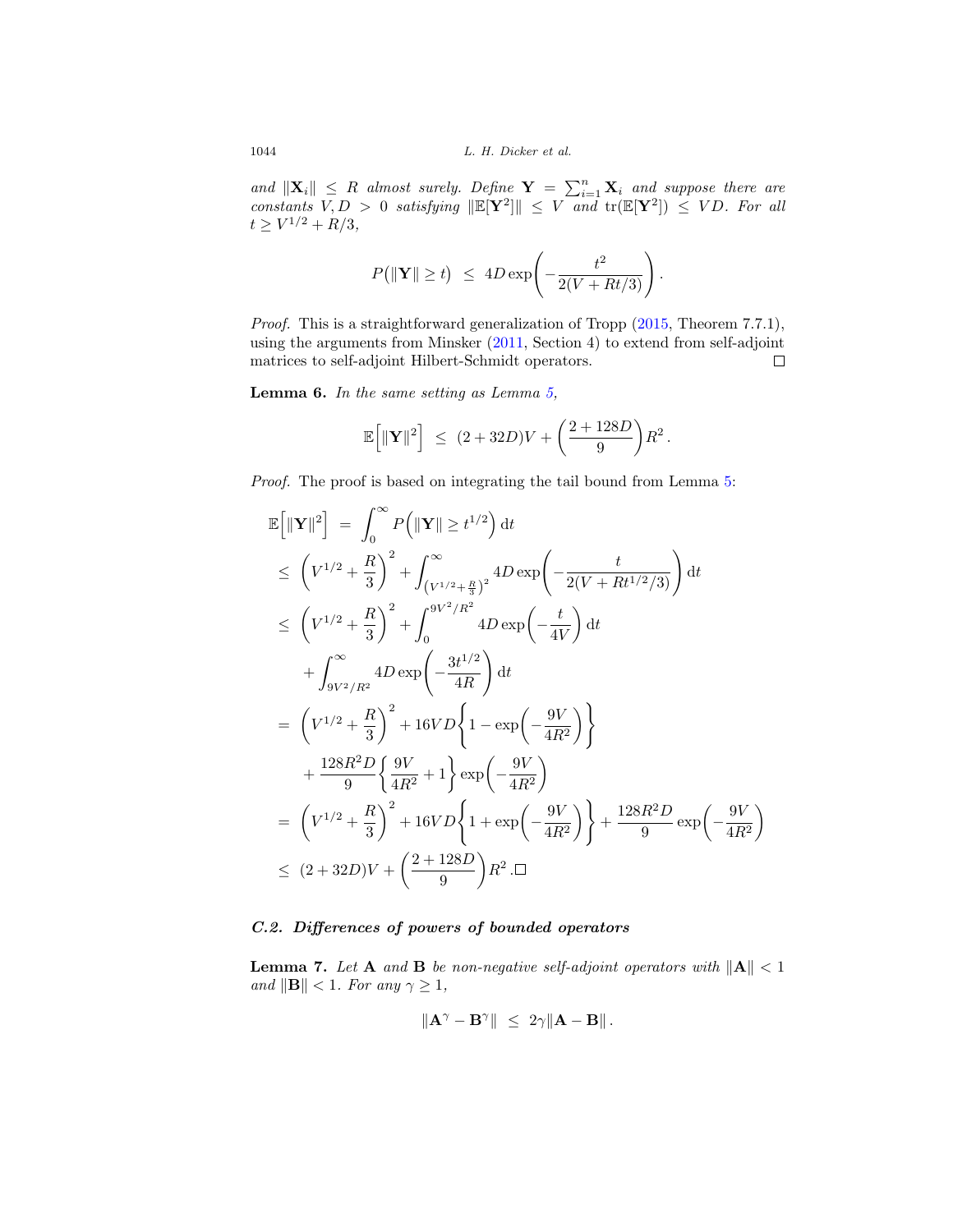and  $\|\mathbf{X}_i\| \leq R$  almost surely. Define  $\mathbf{Y} = \sum_{i=1}^n \mathbf{X}_i$  and suppose there are constants  $V, D > 0$  satisfying  $\|\mathbb{E}[\mathbf{Y}^2]\| \leq V$  and  $tr(\mathbb{E}[\mathbf{Y}^2]) \leq V D$ . For all  $t \geq V^{1/2} + R/3,$ 

$$
P\big(\|\mathbf{Y}\| \geq t\big) \ \leq \ 4D\exp\left(-\frac{t^2}{2(V+Rt/3)}\right).
$$

Proof. This is a straightforward generalization of Tropp [\(2015,](#page-25-7) Theorem 7.7.1), using the arguments from Minsker [\(2011,](#page-25-14) Section 4) to extend from self-adjoint matrices to self-adjoint Hilbert-Schmidt operators.  $\Box$ 

<span id="page-22-0"></span>**Lemma 6.** In the same setting as Lemma [5,](#page-21-0)

$$
\mathbb{E}\Big[\|\mathbf{Y}\|^2\Big] \ \leq \ (2+32D)V + \bigg(\frac{2+128D}{9}\bigg)R^2\,.
$$

Proof. The proof is based on integrating the tail bound from Lemma [5:](#page-21-0)

$$
\mathbb{E}\left[\|\mathbf{Y}\|^{2}\right] = \int_{0}^{\infty} P\left(\|\mathbf{Y}\| \geq t^{1/2}\right) dt
$$
\n
$$
\leq \left(V^{1/2} + \frac{R}{3}\right)^{2} + \int_{\left(V^{1/2} + \frac{R}{3}\right)^{2}}^{2} 4D \exp\left(-\frac{t}{2(V + Rt^{1/2}/3)}\right) dt
$$
\n
$$
\leq \left(V^{1/2} + \frac{R}{3}\right)^{2} + \int_{0}^{9V^{2}/R^{2}} 4D \exp\left(-\frac{t}{4V}\right) dt
$$
\n
$$
+ \int_{9V^{2}/R^{2}}^{\infty} 4D \exp\left(-\frac{3t^{1/2}}{4R}\right) dt
$$
\n
$$
= \left(V^{1/2} + \frac{R}{3}\right)^{2} + 16VD\left\{1 - \exp\left(-\frac{9V}{4R^{2}}\right)\right\}
$$
\n
$$
+ \frac{128R^{2}D}{9}\left\{\frac{9V}{4R^{2}} + 1\right\} \exp\left(-\frac{9V}{4R^{2}}\right)
$$
\n
$$
= \left(V^{1/2} + \frac{R}{3}\right)^{2} + 16VD\left\{1 + \exp\left(-\frac{9V}{4R^{2}}\right)\right\} + \frac{128R^{2}D}{9} \exp\left(-\frac{9V}{4R^{2}}\right)
$$
\n
$$
\leq (2 + 32D)V + \left(\frac{2 + 128D}{9}\right)R^{2} \cdot \Box
$$

#### *C.2. Differences of powers of bounded operators*

<span id="page-22-1"></span>**Lemma 7.** Let **A** and **B** be non-negative self-adjoint operators with  $||A|| < 1$ and  $\|\mathbf{B}\| < 1$ . For any  $\gamma \geq 1$ ,

$$
\|\mathbf{A}^{\gamma}-\mathbf{B}^{\gamma}\| \leq 2\gamma \|\mathbf{A}-\mathbf{B}\|.
$$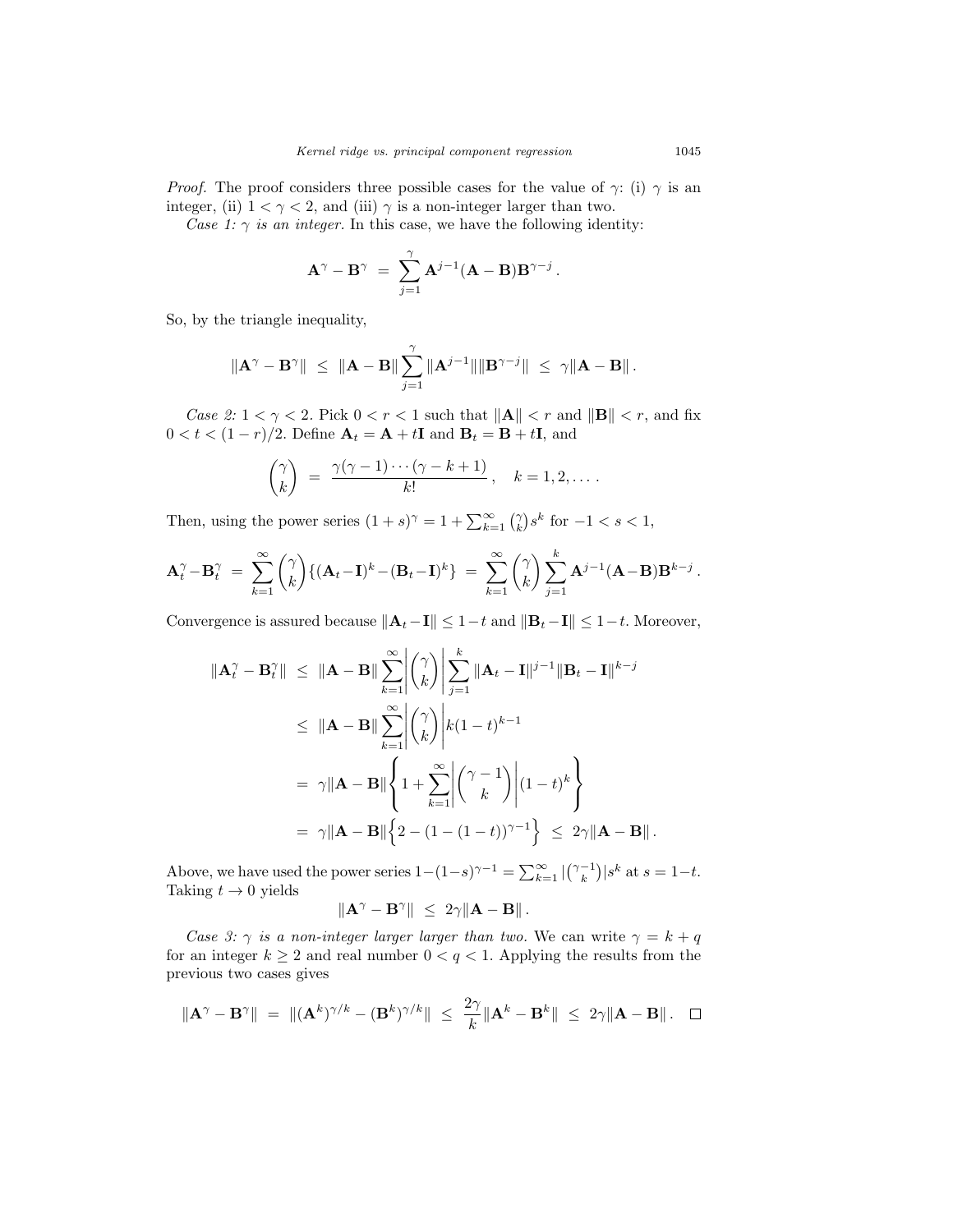*Proof.* The proof considers three possible cases for the value of  $\gamma$ : (i)  $\gamma$  is an integer, (ii)  $1 < \gamma < 2$ , and (iii)  $\gamma$  is a non-integer larger than two.

Case 1:  $\gamma$  is an integer. In this case, we have the following identity:

$$
\mathbf{A}^{\gamma}-\mathbf{B}^{\gamma} ~=~ \sum_{j=1}^{\gamma}\mathbf{A}^{j-1}(\mathbf{A}-\mathbf{B})\mathbf{B}^{\gamma-j}{\,}.
$$

So, by the triangle inequality,

$$
\|\mathbf{A}^{\gamma}-\mathbf{B}^{\gamma}\| \ \leq \ \|\mathbf{A}-\mathbf{B}\|\sum_{j=1}^{\gamma}\|\mathbf{A}^{j-1}\|\|\mathbf{B}^{\gamma-j}\| \ \leq \ \gamma\|\mathbf{A}-\mathbf{B}\|.
$$

*Case 2:*  $1 < \gamma < 2$ . Pick  $0 < r < 1$  such that  $||A|| < r$  and  $||B|| < r$ , and fix  $0 < t < (1 - r)/2$ . Define  $\mathbf{A}_t = \mathbf{A} + t\mathbf{I}$  and  $\mathbf{B}_t = \mathbf{B} + t\mathbf{I}$ , and

$$
\binom{\gamma}{k} = \frac{\gamma(\gamma-1)\cdots(\gamma-k+1)}{k!}, \quad k = 1, 2, \dots.
$$

Then, using the power series  $(1 + s)^\gamma = 1 + \sum_{k=1}^{\infty} {\binom{\gamma}{k}} s^k$  for  $-1 < s < 1$ ,

$$
\mathbf{A}_t^{\gamma} - \mathbf{B}_t^{\gamma} = \sum_{k=1}^{\infty} {\gamma \choose k} \{ (\mathbf{A}_t - \mathbf{I})^k - (\mathbf{B}_t - \mathbf{I})^k \} = \sum_{k=1}^{\infty} {\gamma \choose k} \sum_{j=1}^k \mathbf{A}^{j-1} (\mathbf{A} - \mathbf{B}) \mathbf{B}^{k-j}.
$$

Convergence is assured because  $||\mathbf{A}_t - \mathbf{I}|| \leq 1-t$  and  $||\mathbf{B}_t - \mathbf{I}|| \leq 1-t$ . Moreover,

$$
\|\mathbf{A}_t^{\gamma} - \mathbf{B}_t^{\gamma}\| \leq \|\mathbf{A} - \mathbf{B}\| \sum_{k=1}^{\infty} \left| \binom{\gamma}{k} \right| \sum_{j=1}^k \|\mathbf{A}_t - \mathbf{I}\|^{j-1} \|\mathbf{B}_t - \mathbf{I}\|^{k-j}
$$
  
\n
$$
\leq \|\mathbf{A} - \mathbf{B}\| \sum_{k=1}^{\infty} \left| \binom{\gamma}{k} \right| k(1-t)^{k-1}
$$
  
\n
$$
= \gamma \|\mathbf{A} - \mathbf{B}\| \left\{ 1 + \sum_{k=1}^{\infty} \left| \binom{\gamma - 1}{k} \right| (1-t)^k \right\}
$$
  
\n
$$
= \gamma \|\mathbf{A} - \mathbf{B}\| \left\{ 2 - (1 - (1-t))^{\gamma - 1} \right\} \leq 2\gamma \|\mathbf{A} - \mathbf{B}\|.
$$

Above, we have used the power series  $1-(1-s)^{\gamma-1} = \sum_{k=1}^{\infty} |{\gamma-1 \choose k}|s^k$  at  $s = 1-t$ . Taking  $t\to 0$  yields  $\|\mathbf{A}^{\gamma} - \mathbf{B}^{\gamma}\| \leq 2\gamma \|\mathbf{A} - \mathbf{B}\|.$ 

Case 3: 
$$
\gamma
$$
 is a non-integer larger larger than two. We can write  $\gamma = k + q$  for an integer  $k \geq 2$  and real number  $0 < q < 1$ . Applying the results from the

previous two cases gives  
\n
$$
\frac{1}{2} \left( \frac{1}{2} \right)^{k} \left( \frac{1}{2} \right)^{k} \left( \frac{1}{2} \right)^{k} \left( \frac{1}{2} \right)^{k} \left( \frac{1}{2} \right)^{k} \left( \frac{1}{2} \right)^{k} \left( \frac{1}{2} \right)^{k} \left( \frac{1}{2} \right)^{k} \left( \frac{1}{2} \right)^{k} \left( \frac{1}{2} \right)^{k} \left( \frac{1}{2} \right)^{k} \left( \frac{1}{2} \right)^{k} \left( \frac{1}{2} \right)^{k} \left( \frac{1}{2} \right)^{k} \left( \frac{1}{2} \right)^{k} \left( \frac{1}{2} \right)^{k} \left( \frac{1}{2} \right)^{k} \left( \frac{1}{2} \right)^{k} \left( \frac{1}{2} \right)^{k} \left( \frac{1}{2} \right)^{k} \left( \frac{1}{2} \right)^{k} \left( \frac{1}{2} \right)^{k} \left( \frac{1}{2} \right)^{k} \left( \frac{1}{2} \right)^{k} \left( \frac{1}{2} \right)^{k} \left( \frac{1}{2} \right)^{k} \left( \frac{1}{2} \right)^{k} \left( \frac{1}{2} \right)^{k} \left( \frac{1}{2} \right)^{k} \left( \frac{1}{2} \right)^{k} \left( \frac{1}{2} \right)^{k} \left( \frac{1}{2} \right)^{k} \left( \frac{1}{2} \right)^{k} \left( \frac{1}{2} \right)^{k} \left( \frac{1}{2} \right)^{k} \left( \frac{1}{2} \right)^{k} \left( \frac{1}{2} \right)^{k} \left( \frac{1}{2} \right)^{k} \left( \frac{1}{2} \right)^{k} \left( \frac{1}{2} \right)^{k} \left( \frac{1}{2} \right)^{k} \left( \frac{1}{2} \right)^{k} \left( \frac{1}{2} \right)^{k} \left( \frac{1}{2} \right)^{k} \left( \frac{1}{2} \right)^{k} \left( \frac{1}{2} \right)^{k} \left( \frac{1}{2}
$$

$$
\|\mathbf{A}^{\gamma}-\mathbf{B}^{\gamma}\| = \|(\mathbf{A}^k)^{\gamma/k} - (\mathbf{B}^k)^{\gamma/k}\| \le \frac{2\gamma}{k} \|\mathbf{A}^k - \mathbf{B}^k\| \le 2\gamma \|\mathbf{A} - \mathbf{B}\|.\quad \Box
$$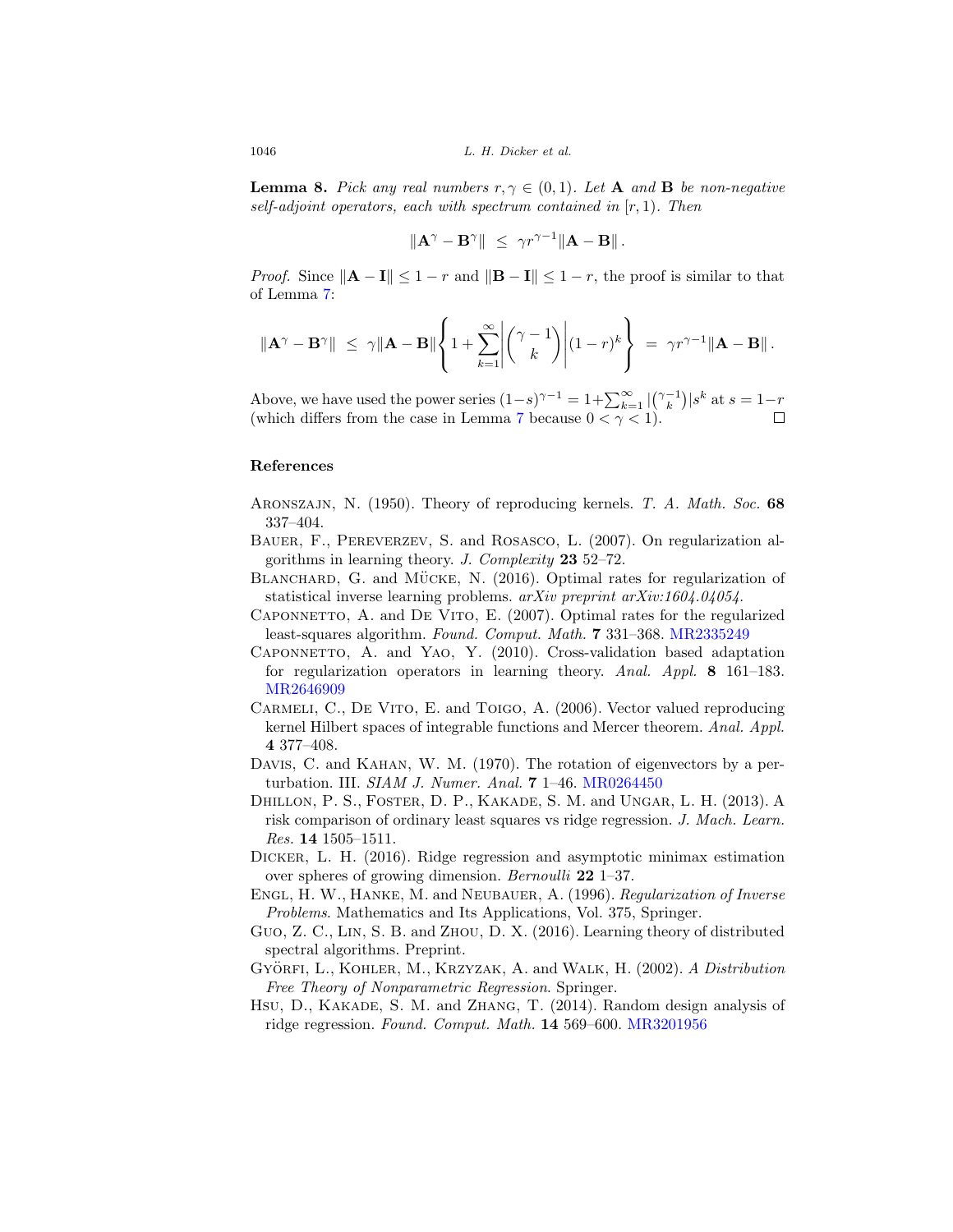<span id="page-24-13"></span>**Lemma 8.** Pick any real numbers  $r, \gamma \in (0, 1)$ . Let **A** and **B** be non-negative self-adjoint operators, each with spectrum contained in  $[r, 1)$ . Then

$$
\|\mathbf{A}^{\gamma}-\mathbf{B}^{\gamma}\|\ \leq\ \gamma r^{\gamma-1}\|\mathbf{A}-\mathbf{B}\|.
$$

*Proof.* Since  $||\mathbf{A} - \mathbf{I}|| \leq 1 - r$  and  $||\mathbf{B} - \mathbf{I}|| \leq 1 - r$ , the proof is similar to that of Lemma [7:](#page-22-1)

$$
\|\mathbf{A}^{\gamma}-\mathbf{B}^{\gamma}\| \leq \gamma \|\mathbf{A}-\mathbf{B}\| \left\{1+\sum_{k=1}^{\infty} \left|\binom{\gamma-1}{k}\right| (1-r)^k\right\} = \gamma r^{\gamma-1} \|\mathbf{A}-\mathbf{B}\|.
$$

Above, we have used the power series  $(1-s)^{\gamma-1} = 1 + \sum_{k=1}^{\infty} |{(\gamma-1_k)}| s^k$  at  $s = 1-r$ (which differs from the case in Lemma [7](#page-22-1) because  $0 < \gamma < 1$ ).

#### **References**

- <span id="page-24-9"></span>Aronszajn, N. (1950). Theory of reproducing kernels. T. A. Math. Soc. **68** 337–404.
- <span id="page-24-1"></span>Bauer, F., Pereverzev, S. and Rosasco, L. (2007). On regularization algorithms in learning theory. J. Complexity **23** 52–72.
- <span id="page-24-5"></span>BLANCHARD, G. and MÜCKE, N.  $(2016)$ . Optimal rates for regularization of statistical inverse learning problems. arXiv preprint arXiv:1604.04054.
- <span id="page-24-2"></span>Caponnetto, A. and De Vito, E. (2007). Optimal rates for the regularized least-squares algorithm. Found. Comput. Math. **7** 331–368. [MR2335249](http://www.ams.org/mathscinet-getitem?mr=2335249)
- <span id="page-24-3"></span>Caponnetto, A. and Yao, Y. (2010). Cross-validation based adaptation for regularization operators in learning theory. Anal. Appl. **8** 161–183. [MR2646909](http://www.ams.org/mathscinet-getitem?mr=2646909)
- <span id="page-24-8"></span>CARMELI, C., DE VITO, E. and TOIGO, A. (2006). Vector valued reproducing kernel Hilbert spaces of integrable functions and Mercer theorem. Anal. Appl. **4** 377–408.
- <span id="page-24-7"></span>DAVIS, C. and KAHAN, W. M. (1970). The rotation of eigenvectors by a perturbation. III. SIAM J. Numer. Anal. **7** 1–46. [MR0264450](http://www.ams.org/mathscinet-getitem?mr=0264450)
- <span id="page-24-4"></span>Dhillon, P. S., Foster, D. P., Kakade, S. M. and Ungar, L. H. (2013). A risk comparison of ordinary least squares vs ridge regression. J. Mach. Learn. Res. **14** 1505–1511.
- <span id="page-24-12"></span>Dicker, L. H. (2016). Ridge regression and asymptotic minimax estimation over spheres of growing dimension. Bernoulli **22** 1–37.
- <span id="page-24-11"></span>Engl, H. W., Hanke, M. and Neubauer, A. (1996). Regularization of Inverse Problems. Mathematics and Its Applications, Vol. 375, Springer.
- <span id="page-24-6"></span>Guo, Z. C., Lin, S. B. and Zhou, D. X. (2016). Learning theory of distributed spectral algorithms. Preprint.
- <span id="page-24-0"></span>GYÖRFI, L., KOHLER, M., KRZYZAK, A. and WALK, H. (2002). A Distribution Free Theory of Nonparametric Regression. Springer.
- <span id="page-24-10"></span>Hsu, D., Kakade, S. M. and Zhang, T. (2014). Random design analysis of ridge regression. Found. Comput. Math. **14** 569–600. [MR3201956](http://www.ams.org/mathscinet-getitem?mr=3201956)